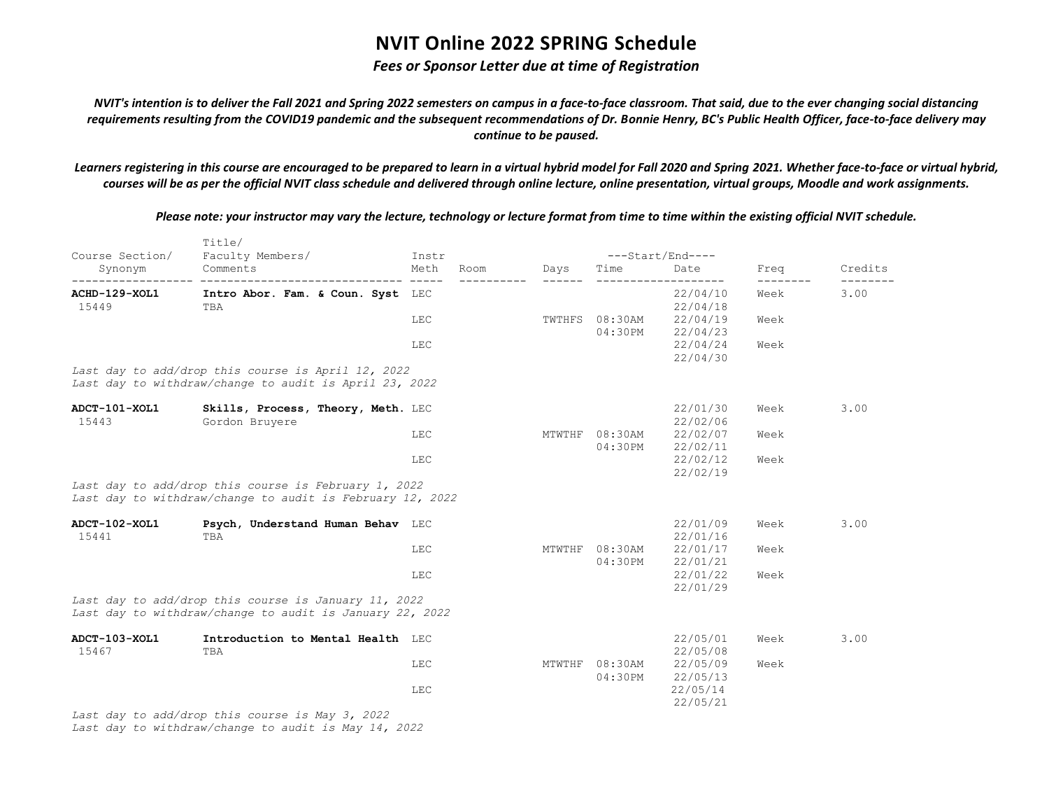### *Fees or Sponsor Letter due at time of Registration*

*NVIT's intention is to deliver the Fall 2021 and Spring 2022 semesters on campus in a face-to-face classroom. That said, due to the ever changing social distancing requirements resulting from the COVID19 pandemic and the subsequent recommendations of Dr. Bonnie Henry, BC's Public Health Officer, face-to-face delivery may continue to be paused.*

*Learners registering in this course are encouraged to be prepared to learn in a virtual hybrid model for Fall 2020 and Spring 2021. Whether face-to-face or virtual hybrid, courses will be as per the official NVIT class schedule and delivered through online lecture, online presentation, virtual groups, Moodle and work assignments.*

*Please note: your instructor may vary the lecture, technology or lecture format from time to time within the existing official NVIT schedule.*

| Course Section/        | Title/<br>Faculty Members/                                                                                        | Instr        |        |                           | $---Start/End---$    |      |         |
|------------------------|-------------------------------------------------------------------------------------------------------------------|--------------|--------|---------------------------|----------------------|------|---------|
| Synonym                | Comments                                                                                                          | Meth<br>Room | Days   | Time                      | Date                 | Freq | Credits |
| ACHD-129-XOL1<br>15449 | Intro Abor. Fam. & Coun. Syst LEC<br>TBA                                                                          |              |        |                           | 22/04/10<br>22/04/18 | Week | 3.00    |
|                        |                                                                                                                   | LEC          | TWTHFS | $08:30$ AM<br>04:30PM     | 22/04/19<br>22/04/23 | Week |         |
|                        |                                                                                                                   | LEC          |        |                           | 22/04/24<br>22/04/30 | Week |         |
|                        | Last day to add/drop this course is April 12, 2022<br>Last day to withdraw/change to audit is April 23, 2022      |              |        |                           |                      |      |         |
| ADCT-101-XOL1<br>15443 | Skills, Process, Theory, Meth. LEC<br>Gordon Bruyere                                                              |              |        |                           | 22/01/30<br>22/02/06 | Week | 3.00    |
|                        |                                                                                                                   | LEC          |        | MTWTHF 08:30AM<br>04:30PM | 22/02/07<br>22/02/11 | Week |         |
|                        |                                                                                                                   | LEC          |        |                           | 22/02/12<br>22/02/19 | Week |         |
|                        | Last day to add/drop this course is February 1, 2022<br>Last day to withdraw/change to audit is February 12, 2022 |              |        |                           |                      |      |         |
| ADCT-102-XOL1<br>15441 | Psych, Understand Human Behav LEC<br>TBA                                                                          |              |        |                           | 22/01/09<br>22/01/16 | Week | 3.00    |
|                        |                                                                                                                   | LEC          | MTWTHF | 08:30AM<br>04:30PM        | 22/01/17<br>22/01/21 | Week |         |
|                        |                                                                                                                   | LEC          |        |                           | 22/01/22<br>22/01/29 | Week |         |
|                        | Last day to add/drop this course is January 11, 2022<br>Last day to withdraw/change to audit is January 22, 2022  |              |        |                           |                      |      |         |
| ADCT-103-XOL1<br>15467 | Introduction to Mental Health LEC<br>TBA                                                                          |              |        |                           | 22/05/01<br>22/05/08 | Week | 3.00    |
|                        |                                                                                                                   | LEC          | MTWTHF | 08:30AM<br>04:30PM        | 22/05/09<br>22/05/13 | Week |         |
|                        |                                                                                                                   | LEC          |        |                           | 22/05/14<br>22/05/21 |      |         |
|                        | Last day to add/drop this course is May 3, 2022                                                                   |              |        |                           |                      |      |         |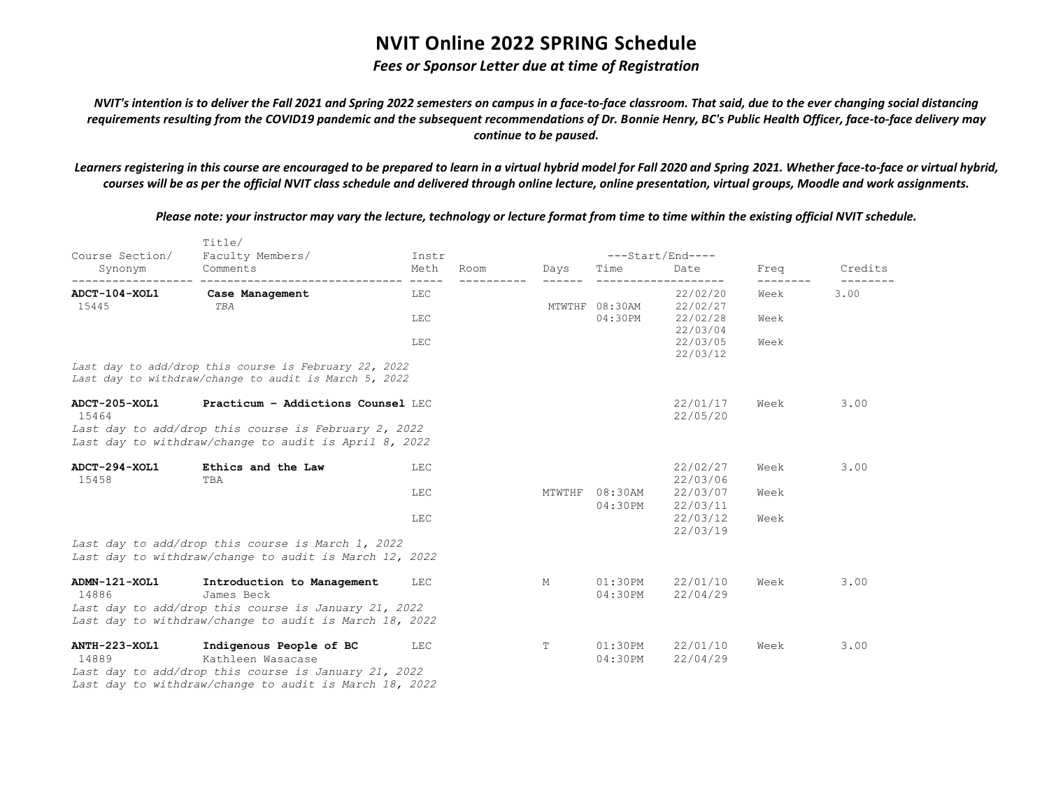### *Fees or Sponsor Letter due at time of Registration*

*NVIT's intention is to deliver the Fall 2021 and Spring 2022 semesters on campus in a face-to-face classroom. That said, due to the ever changing social distancing requirements resulting from the COVID19 pandemic and the subsequent recommendations of Dr. Bonnie Henry, BC's Public Health Officer, face-to-face delivery may continue to be paused.*

*Learners registering in this course are encouraged to be prepared to learn in a virtual hybrid model for Fall 2020 and Spring 2021. Whether face-to-face or virtual hybrid, courses will be as per the official NVIT class schedule and delivered through online lecture, online presentation, virtual groups, Moodle and work assignments.*

*Please note: your instructor may vary the lecture, technology or lecture format from time to time within the existing official NVIT schedule.*

|                        | Title/                                                                                                         |               |      |        |                       |                      |      |         |
|------------------------|----------------------------------------------------------------------------------------------------------------|---------------|------|--------|-----------------------|----------------------|------|---------|
| Course Section/        | Faculty Members/                                                                                               | Instr         |      |        |                       | ---Start/End----     |      |         |
| Synonym                | Comments                                                                                                       | Meth<br>----- | Room | Days   | Time                  | Date                 | Freq | Credits |
| ADCT-104-XOL1<br>15445 | Case Management<br>TBA                                                                                         | <b>LEC</b>    |      |        | MTWTHF 08:30AM        | 22/02/20<br>22/02/27 | Week | 3.00    |
|                        |                                                                                                                | <b>LEC</b>    |      |        | 04:30PM               | 22/02/28<br>22/03/04 | Week |         |
|                        |                                                                                                                | <b>LEC</b>    |      |        |                       | 22/03/05<br>22/03/12 | Week |         |
|                        | Last day to add/drop this course is February 22, 2022<br>Last day to withdraw/change to audit is March 5, 2022 |               |      |        |                       |                      |      |         |
| ADCT-205-XOL1<br>15464 | Practicum - Addictions Counsel LEC                                                                             |               |      |        |                       | 22/01/17<br>22/05/20 | Week | 3.00    |
|                        | Last day to add/drop this course is February 2, 2022<br>Last day to withdraw/change to audit is April 8, 2022  |               |      |        |                       |                      |      |         |
| ADCT-294-XOL1<br>15458 | Ethics and the Law<br>TBA                                                                                      | LEC           |      |        |                       | 22/02/27<br>22/03/06 | Week | 3.00    |
|                        |                                                                                                                | LEC           |      | MTWTHF | $08:30$ AM<br>04:30PM | 22/03/07<br>22/03/11 | Week |         |
|                        |                                                                                                                | LEC           |      |        |                       | 22/03/12<br>22/03/19 | Week |         |
|                        | Last day to add/drop this course is March 1, 2022<br>Last day to withdraw/change to audit is March 12, 2022    |               |      |        |                       |                      |      |         |
| ADMN-121-XOL1<br>14886 | Introduction to Management<br>James Beck<br>Last day to add/drop this course is January 21, 2022               | LEC           |      | M      | 01:30PM<br>04:30PM    | 22/01/10<br>22/04/29 | Week | 3.00    |
|                        | Last day to withdraw/change to audit is March 18, 2022                                                         |               |      |        |                       |                      |      |         |
| ANTH-223-XOL1<br>14889 | Indigenous People of BC<br>Kathleen Wasacase                                                                   | LEC           |      | Т      | 01:30PM<br>04:30PM    | 22/01/10<br>22/04/29 | Week | 3.00    |
|                        | Last day to add/drop this course is January 21, 2022<br>Last day to withdraw/change to audit is March 18, 2022 |               |      |        |                       |                      |      |         |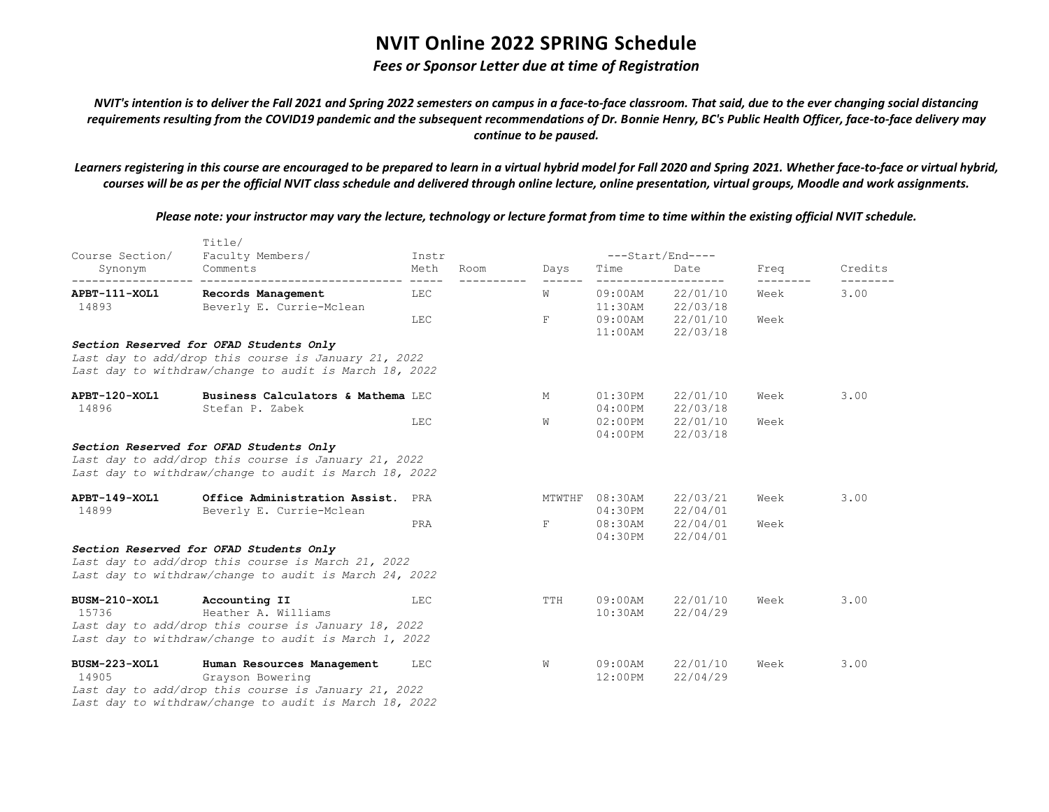### *Fees or Sponsor Letter due at time of Registration*

*NVIT's intention is to deliver the Fall 2021 and Spring 2022 semesters on campus in a face-to-face classroom. That said, due to the ever changing social distancing requirements resulting from the COVID19 pandemic and the subsequent recommendations of Dr. Bonnie Henry, BC's Public Health Officer, face-to-face delivery may continue to be paused.*

*Learners registering in this course are encouraged to be prepared to learn in a virtual hybrid model for Fall 2020 and Spring 2021. Whether face-to-face or virtual hybrid, courses will be as per the official NVIT class schedule and delivered through online lecture, online presentation, virtual groups, Moodle and work assignments.*

*Please note: your instructor may vary the lecture, technology or lecture format from time to time within the existing official NVIT schedule.*

| Course Section/ | Title/<br>Faculty Members/                                                                                     | Instr              |      |        |            | $---Start/End---$ |      |         |
|-----------------|----------------------------------------------------------------------------------------------------------------|--------------------|------|--------|------------|-------------------|------|---------|
| Synonym         | Comments                                                                                                       | Meth               | Room | Days   | Time       | Date              | Freq | Credits |
| APBT-111-XOL1   | -------------------------------<br>Records Management                                                          | $- - - - -$<br>LEC |      | W      | 09:00AM    | 22/01/10          | Week | 3.00    |
| 14893           | Beverly E. Currie-Mclean                                                                                       |                    |      |        |            | 11:30AM 22/03/18  |      |         |
|                 |                                                                                                                | LEC                |      | F      |            | 09:00AM 22/01/10  | Week |         |
|                 |                                                                                                                |                    |      |        | $11:00$ AM | 22/03/18          |      |         |
|                 | Section Reserved for OFAD Students Only                                                                        |                    |      |        |            |                   |      |         |
|                 | Last day to add/drop this course is January 21, 2022<br>Last day to withdraw/change to audit is March 18, 2022 |                    |      |        |            |                   |      |         |
| APBT-120-XOL1   | Business Calculators & Mathema LEC                                                                             |                    |      | M      | $01:30$ PM | 22/01/10          | Week | 3.00    |
| 14896           | Stefan P. Zabek                                                                                                |                    |      |        | $04:00$ PM | 22/03/18          |      |         |
|                 |                                                                                                                | LEC                |      | W      |            | 02:00PM 22/01/10  | Week |         |
|                 |                                                                                                                |                    |      |        | $04:00$ PM | 22/03/18          |      |         |
|                 | Section Reserved for OFAD Students Only                                                                        |                    |      |        |            |                   |      |         |
|                 | Last day to add/drop this course is January 21, 2022                                                           |                    |      |        |            |                   |      |         |
|                 | Last day to withdraw/change to audit is March 18, 2022                                                         |                    |      |        |            |                   |      |         |
| APBT-149-XOL1   | Office Administration Assist. PRA                                                                              |                    |      | MTWTHF | $08:30$ AM | 22/03/21          | Week | 3.00    |
| 14899           | Beverly E. Currie-Mclean                                                                                       |                    |      |        |            | 04:30PM 22/04/01  |      |         |
|                 |                                                                                                                | PRA                |      | F      |            | 08:30AM 22/04/01  | Week |         |
|                 |                                                                                                                |                    |      |        | 04:30PM    | 22/04/01          |      |         |
|                 | Section Reserved for OFAD Students Only                                                                        |                    |      |        |            |                   |      |         |
|                 | Last day to add/drop this course is March 21, 2022                                                             |                    |      |        |            |                   |      |         |
|                 | Last day to withdraw/change to audit is March 24, 2022                                                         |                    |      |        |            |                   |      |         |
| BUSM-210-XOL1   | Accounting II                                                                                                  | LEC                |      | TTH    | 09:00AM    | 22/01/10          | Week | 3.00    |
| 15736           | Heather A. Williams                                                                                            |                    |      |        | $10:30$ AM | 22/04/29          |      |         |
|                 | Last day to add/drop this course is January 18, 2022                                                           |                    |      |        |            |                   |      |         |
|                 | Last day to withdraw/change to audit is March 1, 2022                                                          |                    |      |        |            |                   |      |         |
| BUSM-223-XOL1   | Human Resources Management                                                                                     | LEC                |      | W      | $09:00$ AM | 22/01/10          | Week | 3.00    |
| 14905           | Grayson Bowering                                                                                               |                    |      |        | $12:00$ PM | 22/04/29          |      |         |
|                 | Last day to add/drop this course is January 21, 2022                                                           |                    |      |        |            |                   |      |         |
|                 | Last day to withdraw/change to audit is March 18, 2022                                                         |                    |      |        |            |                   |      |         |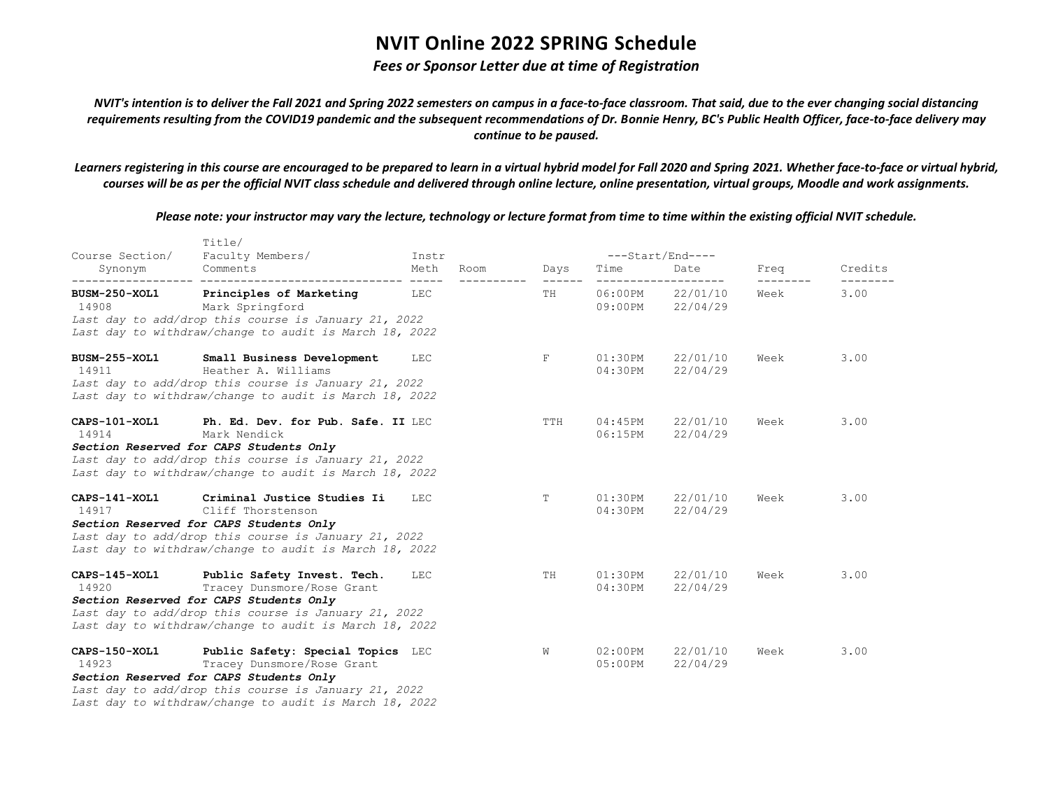### *Fees or Sponsor Letter due at time of Registration*

*NVIT's intention is to deliver the Fall 2021 and Spring 2022 semesters on campus in a face-to-face classroom. That said, due to the ever changing social distancing requirements resulting from the COVID19 pandemic and the subsequent recommendations of Dr. Bonnie Henry, BC's Public Health Officer, face-to-face delivery may continue to be paused.*

*Learners registering in this course are encouraged to be prepared to learn in a virtual hybrid model for Fall 2020 and Spring 2021. Whether face-to-face or virtual hybrid, courses will be as per the official NVIT class schedule and delivered through online lecture, online presentation, virtual groups, Moodle and work assignments.*

*Please note: your instructor may vary the lecture, technology or lecture format from time to time within the existing official NVIT schedule.*

|                        | TILLe/                                                                                                                                                              |       |      |                         |                          |                                      |                  |         |
|------------------------|---------------------------------------------------------------------------------------------------------------------------------------------------------------------|-------|------|-------------------------|--------------------------|--------------------------------------|------------------|---------|
| Course Section/        | Faculty Members/                                                                                                                                                    | Instr |      |                         |                          | ---Start/End----                     |                  |         |
| Synonym                | Comments                                                                                                                                                            | Meth  | Room | Days<br>$- - - - - - -$ | Time                     | Date<br>-------------------          | Freq<br>-------- | Credits |
|                        | BUSM-250-XOL1 Principles of Marketing LEC<br>14908 Mark Springford<br>Last day to add/drop this course is January 21, 2022                                          |       |      | TH                      |                          | 06:00PM 22/01/10<br>09:00PM 22/04/29 | Week             | 3.00    |
|                        | Last day to withdraw/change to audit is March 18, 2022                                                                                                              |       |      |                         |                          |                                      |                  |         |
| BUSM-255-XOL1<br>14911 | Small Business Development<br>Heather A. Williams<br>Last day to add/drop this course is January 21, 2022<br>Last day to withdraw/change to audit is March 18, 2022 | LEC   |      | F                       | $01:30$ PM<br>04:30PM    | 22/01/10<br>22/04/29                 | Week             | 3.00    |
| CAPS-101-XOL1<br>14914 | Ph. Ed. Dev. for Pub. Safe. II LEC<br>Mark Nendick                                                                                                                  |       |      | TTH                     | 04:45PM<br>06:15PM       | 22/01/10<br>22/04/29                 | Week             | 3.00    |
|                        | Section Reserved for CAPS Students Only<br>Last day to add/drop this course is January 21, 2022<br>Last day to withdraw/change to audit is March 18, 2022           |       |      |                         |                          |                                      |                  |         |
| CAPS-141-XOL1<br>14917 | Criminal Justice Studies Ii<br>Cliff Thorstenson                                                                                                                    | LEC   |      | T                       | $01:30$ PM<br>04:30PM    | 22/01/10<br>22/04/29                 | Week             | 3.00    |
|                        | Section Reserved for CAPS Students Only<br>Last day to add/drop this course is January 21, 2022<br>Last day to withdraw/change to audit is March 18, 2022           |       |      |                         |                          |                                      |                  |         |
| 14920 and 14920        | CAPS-145-XOL1 Public Safety Invest. Tech.<br>Tracey Dunsmore/Rose Grant                                                                                             | LEC   |      | TH                      | $01:30$ PM<br>04:30PM    | 22/01/10<br>22/04/29                 | Week             | 3.00    |
|                        | Section Reserved for CAPS Students Only<br>Last day to add/drop this course is January 21, 2022<br>Last day to withdraw/change to audit is March 18, 2022           |       |      |                         |                          |                                      |                  |         |
| CAPS-150-XOL1<br>14923 | Public Safety: Special Topics LEC<br>Tracey Dunsmore/Rose Grant                                                                                                     |       |      | W                       | $02:00$ PM<br>$05:00$ PM | 22/01/10<br>22/04/29                 | Week             | 3.00    |
|                        | Section Reserved for CAPS Students Only                                                                                                                             |       |      |                         |                          |                                      |                  |         |
|                        | Last day to add/drop this course is January 21, 2022                                                                                                                |       |      |                         |                          |                                      |                  |         |
|                        | Last day to withdraw/change to audit is March 18, 2022                                                                                                              |       |      |                         |                          |                                      |                  |         |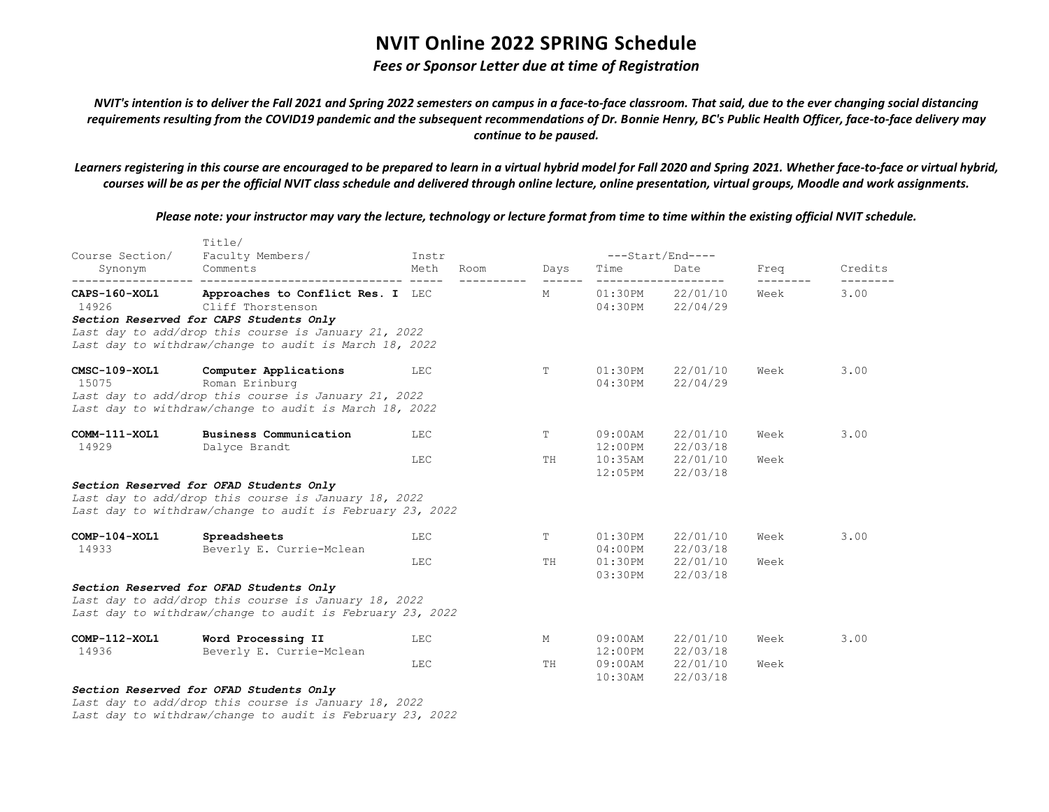#### *Fees or Sponsor Letter due at time of Registration*

*NVIT's intention is to deliver the Fall 2021 and Spring 2022 semesters on campus in a face-to-face classroom. That said, due to the ever changing social distancing requirements resulting from the COVID19 pandemic and the subsequent recommendations of Dr. Bonnie Henry, BC's Public Health Officer, face-to-face delivery may continue to be paused.*

*Learners registering in this course are encouraged to be prepared to learn in a virtual hybrid model for Fall 2020 and Spring 2021. Whether face-to-face or virtual hybrid, courses will be as per the official NVIT class schedule and delivered through online lecture, online presentation, virtual groups, Moodle and work assignments.*

*Please note: your instructor may vary the lecture, technology or lecture format from time to time within the existing official NVIT schedule.*

| Course Section/            | TILLe/<br>Faculty Members/                                                                                                                                                                                          | Instr        |            |                              | $---Start/End---$                                            |      |         |
|----------------------------|---------------------------------------------------------------------------------------------------------------------------------------------------------------------------------------------------------------------|--------------|------------|------------------------------|--------------------------------------------------------------|------|---------|
| Synonym                    | Comments                                                                                                                                                                                                            | Meth<br>Room | Days       | Time                         | Date                                                         | Freq | Credits |
| CAPS-160-XOL1<br>14926 749 | Approaches to Conflict Res. I LEC<br>Cliff Thorstenson<br>Section Reserved for CAPS Students Only<br>Last day to add/drop this course is January 21, 2022<br>Last day to withdraw/change to audit is March 18, 2022 |              | M          |                              | --------------------<br>01:30PM 22/01/10<br>04:30PM 22/04/29 | Week | 3.00    |
| CMSC-109-XOL1<br>15075     | Computer Applications<br>Roman Erinburg<br>Last day to add/drop this course is January 21, 2022<br>Last day to withdraw/change to audit is March 18, 2022                                                           | LEC          | T.         | $01:30$ PM<br>04:30PM        | 22/01/10<br>22/04/29                                         | Week | 3.00    |
| COMM-111-XOL1<br>14929     | Business Communication<br>Dalyce Brandt                                                                                                                                                                             | LEC          | T          | $09:00$ AM                   | 22/01/10<br>12:00PM 22/03/18                                 | Week | 3.00    |
|                            | <b>LEC</b>                                                                                                                                                                                                          | TH           | $12:05$ PM | 10:35AM 22/01/10<br>22/03/18 | Week                                                         |      |         |
|                            | Section Reserved for OFAD Students Only<br>Last day to add/drop this course is January 18, 2022<br>Last day to withdraw/change to audit is February 23, 2022                                                        |              |            |                              |                                                              |      |         |
| $COMP-104-XOL1$<br>14933   | Spreadsheets<br>Beverly E. Currie-Mclean                                                                                                                                                                            | LEC          | T.         | $01:30$ PM<br>$04:00$ PM     | 22/01/10<br>22/03/18                                         | Week | 3.00    |
|                            |                                                                                                                                                                                                                     | LEC          | TH         | 03:30PM                      | 01:30PM 22/01/10<br>22/03/18                                 | Week |         |
|                            | Section Reserved for OFAD Students Only<br>Last day to add/drop this course is January 18, 2022<br>Last day to withdraw/change to audit is February 23, 2022                                                        |              |            |                              |                                                              |      |         |
| $COMP-112-XOL1$<br>14936   | Word Processing II<br>Beverly E. Currie-Mclean                                                                                                                                                                      | LEC          | M          | 09:00AM                      | 22/01/10<br>12:00PM 22/03/18                                 | Week | 3.00    |
|                            |                                                                                                                                                                                                                     | <b>LEC</b>   | TH         | $10:30$ AM                   | 09:00AM 22/01/10<br>22/03/18                                 | Week |         |
|                            | Section Reserved for OFAD Students Only                                                                                                                                                                             |              |            |                              |                                                              |      |         |

*Last day to add/drop this course is January 18, 2022 Last day to withdraw/change to audit is February 23, 2022*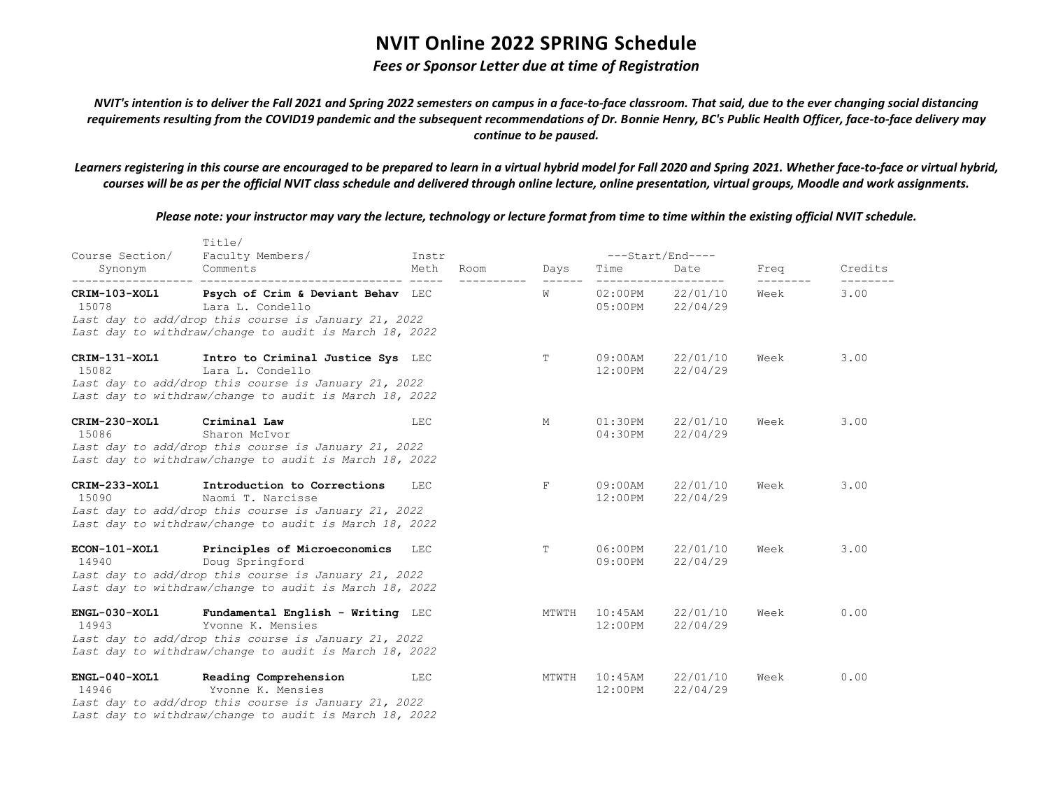### *Fees or Sponsor Letter due at time of Registration*

*NVIT's intention is to deliver the Fall 2021 and Spring 2022 semesters on campus in a face-to-face classroom. That said, due to the ever changing social distancing requirements resulting from the COVID19 pandemic and the subsequent recommendations of Dr. Bonnie Henry, BC's Public Health Officer, face-to-face delivery may continue to be paused.*

*Learners registering in this course are encouraged to be prepared to learn in a virtual hybrid model for Fall 2020 and Spring 2021. Whether face-to-face or virtual hybrid, courses will be as per the official NVIT class schedule and delivered through online lecture, online presentation, virtual groups, Moodle and work assignments.*

*Please note: your instructor may vary the lecture, technology or lecture format from time to time within the existing official NVIT schedule.*

|                        | Title/                                                                                                                                                                   |       |      |                 |                          |                              |                   |         |
|------------------------|--------------------------------------------------------------------------------------------------------------------------------------------------------------------------|-------|------|-----------------|--------------------------|------------------------------|-------------------|---------|
| Course Section/        | Faculty Members/                                                                                                                                                         | Instr |      |                 |                          | ---Start/End----             |                   |         |
| Synonym                | Comments                                                                                                                                                                 | Meth  | Room | Days<br>------- | Time                     | Date                         | Freq<br>--------- | Credits |
| CRIM-103-XOL1<br>15078 | Psych of Crim & Deviant Behav LEC<br>Lara L. Condello<br>Last day to add/drop this course is January 21, 2022<br>Last day to withdraw/change to audit is March 18, 2022  |       |      | W               | $05:00$ PM               | 02:00PM 22/01/10<br>22/04/29 | Week              | 3.00    |
| CRIM-131-XOL1<br>15082 | Intro to Criminal Justice Sys LEC<br>Lara L. Condello<br>Last day to add/drop this course is January 21, 2022<br>Last day to withdraw/change to audit is March 18, 2022  |       |      | T               | $09:00$ AM<br>$12:00$ PM | 22/01/10<br>22/04/29         | Week              | 3.00    |
| CRIM-230-XOL1<br>15086 | Criminal Law<br>Sharon McIvor<br>Last day to add/drop this course is January 21, 2022<br>Last day to withdraw/change to audit is March 18, 2022                          | LEC   |      | М               | $01:30$ PM<br>04:30PM    | 22/01/10<br>22/04/29         | Week              | 3.00    |
| CRIM-233-XOL1<br>15090 | Introduction to Corrections<br>Naomi T. Narcisse<br>Last day to add/drop this course is January 21, 2022<br>Last day to withdraw/change to audit is March 18, 2022       | LEC   |      | F               | 09:00AM<br>$12:00$ PM    | 22/01/10<br>22/04/29         | Week              | 3.00    |
| ECON-101-XOL1<br>14940 | Principles of Microeconomics<br>Doug Springford<br>Last day to add/drop this course is January 21, 2022<br>Last day to withdraw/change to audit is March 18, 2022        | LEC   |      | T.              | $06:00$ PM<br>09:00PM    | 22/01/10<br>22/04/29         | Week              | 3.00    |
| ENGL-030-XOL1<br>14943 | Fundamental English - Writing LEC<br>Yvonne K. Mensies<br>Last day to add/drop this course is January 21, 2022<br>Last day to withdraw/change to audit is March 18, 2022 |       |      | MTWTH           | $10:45$ AM<br>$12:00$ PM | 22/01/10<br>22/04/29         | Week              | 0.00    |
| ENGL-040-XOL1<br>14946 | Reading Comprehension<br>Yvonne K. Mensies<br>Last day to add/drop this course is January 21, 2022<br>Last day to withdraw/change to audit is March 18, 2022             | LEC   |      | MTWTH           | $10:45$ AM<br>$12:00$ PM | 22/01/10<br>22/04/29         | Week              | 0.00    |

 $T$ itle $T$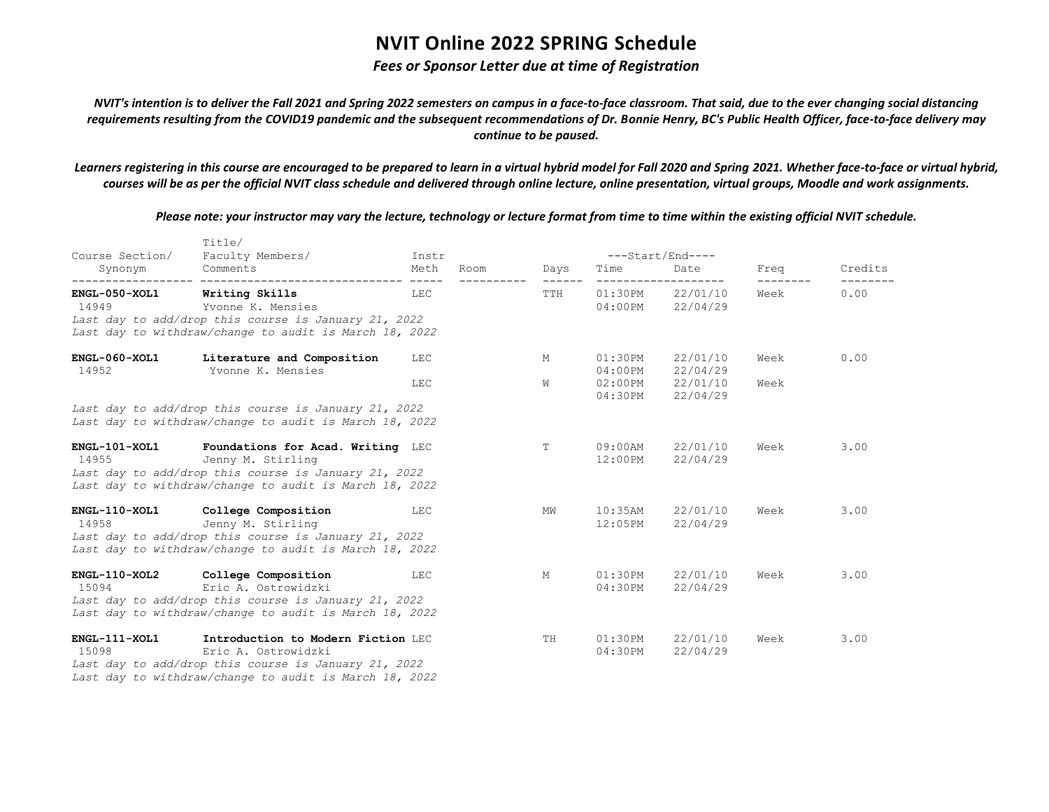### *Fees or Sponsor Letter due at time of Registration*

*NVIT's intention is to deliver the Fall 2021 and Spring 2022 semesters on campus in a face-to-face classroom. That said, due to the ever changing social distancing requirements resulting from the COVID19 pandemic and the subsequent recommendations of Dr. Bonnie Henry, BC's Public Health Officer, face-to-face delivery may continue to be paused.*

*Learners registering in this course are encouraged to be prepared to learn in a virtual hybrid model for Fall 2020 and Spring 2021. Whether face-to-face or virtual hybrid, courses will be as per the official NVIT class schedule and delivered through online lecture, online presentation, virtual groups, Moodle and work assignments.*

*Please note: your instructor may vary the lecture, technology or lecture format from time to time within the existing official NVIT schedule.*

| Course Section/          | Title/<br>Faculty Members/                                                                                                                                                  | Instr                 |      |        |                          | ---Start/End----                         |              |         |
|--------------------------|-----------------------------------------------------------------------------------------------------------------------------------------------------------------------------|-----------------------|------|--------|--------------------------|------------------------------------------|--------------|---------|
| Synonym<br>----------    | Comments                                                                                                                                                                    | Meth<br>$\frac{1}{2}$ | Room | Days   | Time                     | Date                                     | Freq         | Credits |
| $ENGL-050-XOL1$<br>14949 | Writing Skills<br>Yvonne K. Mensies<br>Last day to add/drop this course is January 21, 2022<br>Last day to withdraw/change to audit is March 18, 2022                       | LEC                   |      | TTH    | 01:30PM<br>$04:00$ PM    | 22/01/10<br>22/04/29                     | Week         | 0.00    |
| ENGL-060-XOL1<br>14952   | Literature and Composition<br>Yvonne K. Mensies                                                                                                                             | LEC<br>LEC            |      | М<br>W | $01:30$ PM<br>$04:00$ PM | 22/01/10<br>22/04/29<br>02:00PM 22/01/10 | Week<br>Week | 0.00    |
|                          | Last day to add/drop this course is January 21, 2022<br>Last day to withdraw/change to audit is March 18, 2022                                                              |                       |      |        | 04:30PM                  | 22/04/29                                 |              |         |
| ENGL-101-XOL1<br>14955   | Foundations for Acad. Writing LEC<br>Jenny M. Stirling<br>Last day to add/drop this course is January 21, 2022<br>Last day to withdraw/change to audit is March 18, 2022    |                       |      | T      | $09:00$ AM<br>$12:00$ PM | 22/01/10<br>22/04/29                     | Week         | 3.00    |
| ENGL-110-XOL1<br>14958   | College Composition<br>Jenny M. Stirling<br>Last day to add/drop this course is January 21, 2022<br>Last day to withdraw/change to audit is March 18, 2022                  | LEC                   |      | MW     | $10:35$ AM<br>$12:05$ PM | 22/01/10<br>22/04/29                     | Week         | 3.00    |
| $ENGL-110-XOL2$<br>15094 | College Composition<br>Eric A. Ostrowidzki<br>Last day to add/drop this course is January 21, 2022<br>Last day to withdraw/change to audit is March 18, 2022                | LEC                   |      | M      | $01:30$ PM<br>04:30PM    | 22/01/10<br>22/04/29                     | Week         | 3.00    |
| ENGL-111-XOL1<br>15098   | Introduction to Modern Fiction LEC<br>Eric A. Ostrowidzki<br>Last day to add/drop this course is January 21, 2022<br>Last day to withdraw/change to audit is March 18, 2022 |                       |      | TH     | $01:30$ PM<br>04:30PM    | 22/01/10<br>22/04/29                     | Week         | 3.00    |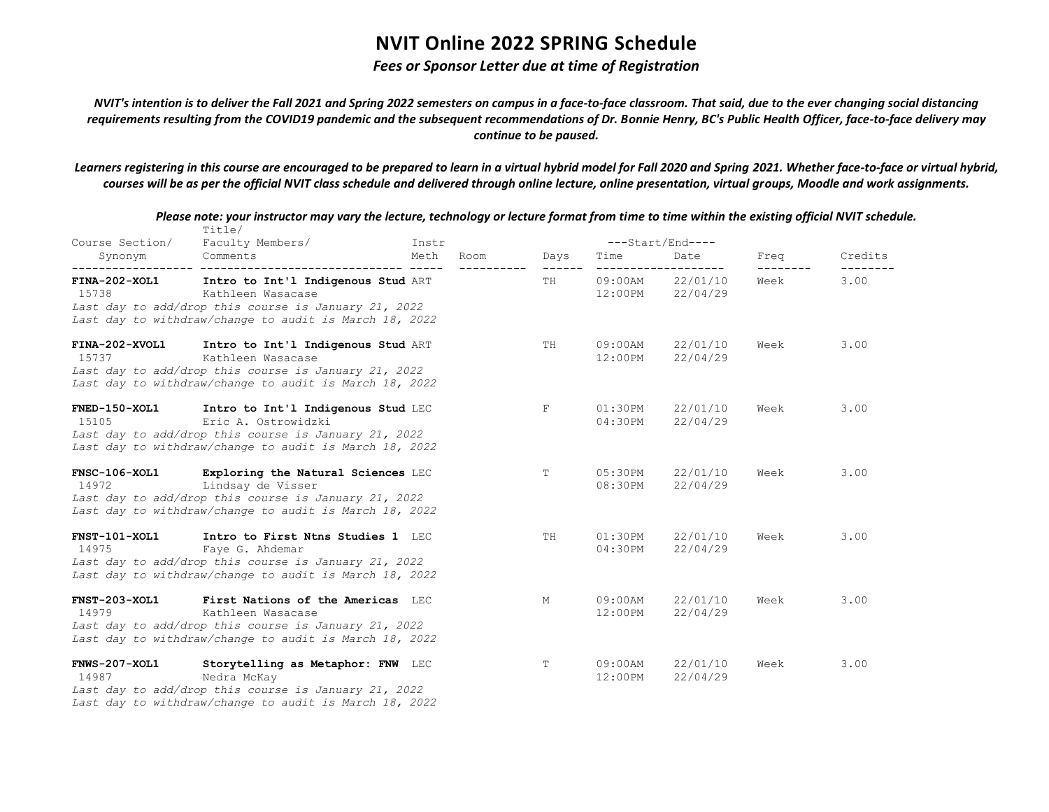### *Fees or Sponsor Letter due at time of Registration*

*NVIT's intention is to deliver the Fall 2021 and Spring 2022 semesters on campus in a face-to-face classroom. That said, due to the ever changing social distancing requirements resulting from the COVID19 pandemic and the subsequent recommendations of Dr. Bonnie Henry, BC's Public Health Officer, face-to-face delivery may continue to be paused.*

*Learners registering in this course are encouraged to be prepared to learn in a virtual hybrid model for Fall 2020 and Spring 2021. Whether face-to-face or virtual hybrid, courses will be as per the official NVIT class schedule and delivered through online lecture, online presentation, virtual groups, Moodle and work assignments.*

| Course Section/               | Title/<br>Faculty Members/                                                                                                                                                  |                       |                       |                          | ---Start/End----             |      |         |
|-------------------------------|-----------------------------------------------------------------------------------------------------------------------------------------------------------------------------|-----------------------|-----------------------|--------------------------|------------------------------|------|---------|
| Synonym                       | Comments                                                                                                                                                                    | Instr<br>Meth<br>Room | Days                  | Time                     | Date                         | Freq | Credits |
| FINA-202-XOL1<br>15738        | Intro to Int'l Indigenous Stud ART<br>Kathleen Wasacase<br>Last day to add/drop this course is January 21, 2022<br>Last day to withdraw/change to audit is March 18, 2022   |                       | $- - - - - - -$<br>TH | 09:00AM                  | 22/01/10<br>12:00PM 22/04/29 | Week | 3.00    |
| FINA-202-XVOL1<br>15737       | Intro to Int'l Indigenous Stud ART<br>Kathleen Wasacase<br>Last day to add/drop this course is January 21, 2022<br>Last day to withdraw/change to audit is March 18, 2022   |                       | TH.                   | 09:00AM<br>12:00PM       | 22/01/10<br>22/04/29         | Week | 3.00    |
| FNED-150-XOL1<br>15105        | Intro to Int'l Indigenous Stud LEC<br>Eric A. Ostrowidzki<br>Last day to add/drop this course is January 21, 2022<br>Last day to withdraw/change to audit is March 18, 2022 |                       | F                     | 01:30PM<br>$04:30$ PM    | 22/01/10<br>22/04/29         | Week | 3.00    |
| <b>FNSC-106-XOL1</b><br>14972 | Exploring the Natural Sciences LEC<br>Lindsay de Visser<br>Last day to add/drop this course is January 21, 2022<br>Last day to withdraw/change to audit is March 18, 2022   |                       | T                     | 05:30PM<br>08:30PM       | 22/01/10<br>22/04/29         | Week | 3.00    |
| <b>FNST-101-XOL1</b><br>14975 | Intro to First Ntns Studies 1 LEC<br>Faye G. Ahdemar<br>Last day to add/drop this course is January 21, 2022<br>Last day to withdraw/change to audit is March 18, 2022      |                       | TH                    | $01:30$ PM<br>04:30PM    | 22/01/10<br>22/04/29         | Week | 3.00    |
| <b>FNST-203-XOL1</b><br>14979 | First Nations of the Americas LEC<br>Kathleen Wasacase<br>Last day to add/drop this course is January 21, 2022<br>Last day to withdraw/change to audit is March 18, 2022    |                       | М                     | 09:00AM<br>12:00PM       | 22/01/10<br>22/04/29         | Week | 3.00    |
| FNWS-207-XOL1<br>14987        | Storytelling as Metaphor: FNW LEC<br>Nedra McKay<br>Last day to add/drop this course is January 21, 2022                                                                    |                       | Т                     | $09:00$ AM<br>$12:00$ PM | 22/01/10<br>22/04/29         | Week | 3.00    |

*Please note: your instructor may vary the lecture, technology or lecture format from time to time within the existing official NVIT schedule.*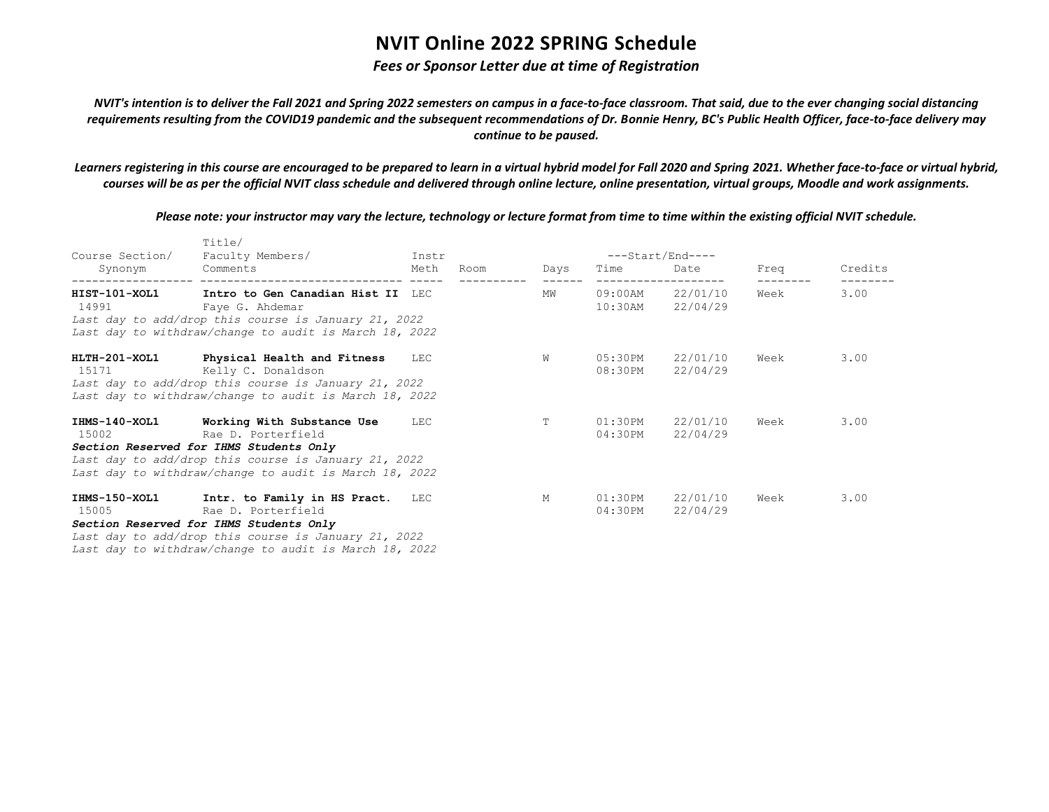### *Fees or Sponsor Letter due at time of Registration*

*NVIT's intention is to deliver the Fall 2021 and Spring 2022 semesters on campus in a face-to-face classroom. That said, due to the ever changing social distancing requirements resulting from the COVID19 pandemic and the subsequent recommendations of Dr. Bonnie Henry, BC's Public Health Officer, face-to-face delivery may continue to be paused.*

*Learners registering in this course are encouraged to be prepared to learn in a virtual hybrid model for Fall 2020 and Spring 2021. Whether face-to-face or virtual hybrid, courses will be as per the official NVIT class schedule and delivered through online lecture, online presentation, virtual groups, Moodle and work assignments.*

*Please note: your instructor may vary the lecture, technology or lecture format from time to time within the existing official NVIT schedule.*

| Course Section/<br>Synonym | Title/<br>Faculty Members/<br>Comments                                                                                                                                                                                      | Instr<br>Meth | Room | Days | Time               | ---Start/End----<br>Date             | Freq | Credits |
|----------------------------|-----------------------------------------------------------------------------------------------------------------------------------------------------------------------------------------------------------------------------|---------------|------|------|--------------------|--------------------------------------|------|---------|
| HIST-101-XOL1<br>14991     | Intro to Gen Canadian Hist II LEC<br>Faye G. Ahdemar<br>Last day to add/drop this course is January 21, 2022<br>Last day to withdraw/change to audit is March 18, 2022                                                      |               |      | MW   |                    | 09:00AM 22/01/10<br>10:30AM 22/04/29 | Week | 3.00    |
| 15171 — 15171 — 1517       | HLTH-201-XOL1 Physical Health and Fitness<br>Kelly C. Donaldson<br>Last day to add/drop this course is January 21, 2022<br>Last day to withdraw/change to audit is March 18, 2022                                           | LEC           |      | W    | 05:30PM<br>08:30PM | 22/01/10<br>22/04/29                 | Week | 3.00    |
| 15002 and 15002            | IHMS-140-XOL1 Working With Substance Use<br>Rae D. Porterfield<br>Section Reserved for IHMS Students Only<br>Last day to add/drop this course is January 21, 2022<br>Last day to withdraw/change to audit is March 18, 2022 | LEC           |      | T.   | 01:30PM<br>04:30PM | 22/01/10<br>22/04/29                 | Week | 3.00    |
| 15005                      | IHMS-150-XOL1 Intr. to Family in HS Pract. LEC<br>Rae D. Porterfield<br>Section Reserved for IHMS Students Only<br>Last day to add/drop this course is January 21, 2022                                                     |               |      | M    | 01:30PM<br>04:30PM | 22/01/10<br>22/04/29                 | Week | 3.00    |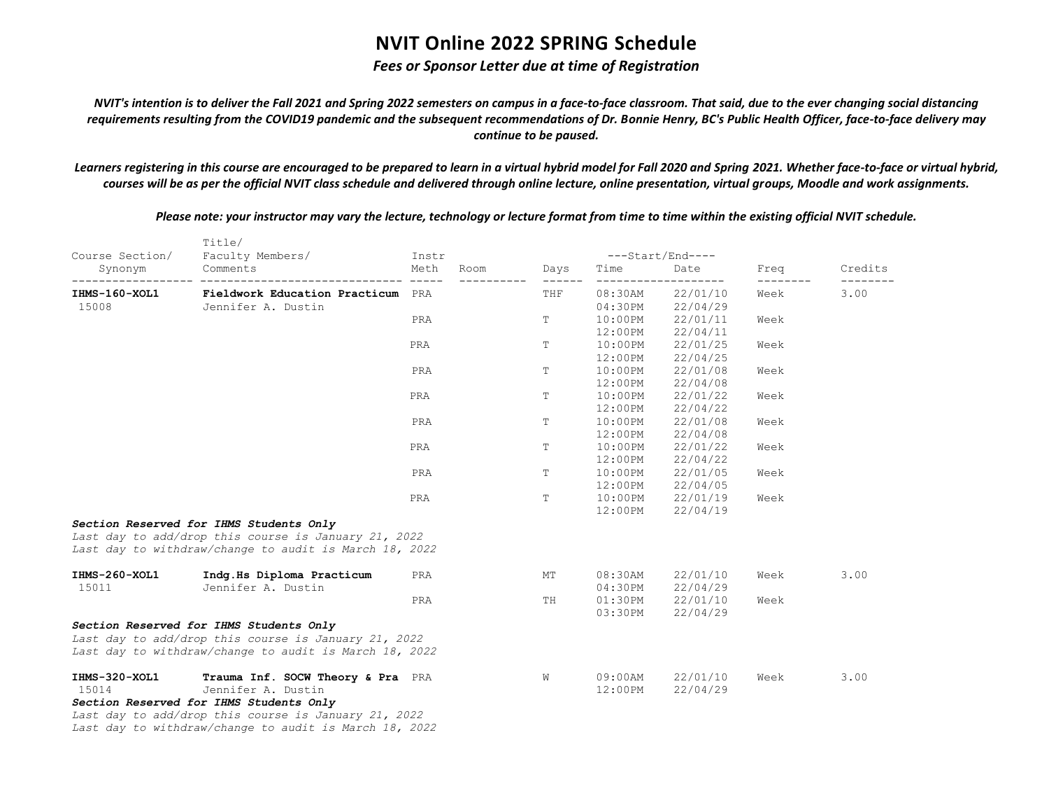### *Fees or Sponsor Letter due at time of Registration*

*NVIT's intention is to deliver the Fall 2021 and Spring 2022 semesters on campus in a face-to-face classroom. That said, due to the ever changing social distancing requirements resulting from the COVID19 pandemic and the subsequent recommendations of Dr. Bonnie Henry, BC's Public Health Officer, face-to-face delivery may continue to be paused.*

*Learners registering in this course are encouraged to be prepared to learn in a virtual hybrid model for Fall 2020 and Spring 2021. Whether face-to-face or virtual hybrid, courses will be as per the official NVIT class schedule and delivered through online lecture, online presentation, virtual groups, Moodle and work assignments.*

*Please note: your instructor may vary the lecture, technology or lecture format from time to time within the existing official NVIT schedule.*

|                 | Title/                                                 |               |      |      |            | ---Start/End---- |      |         |
|-----------------|--------------------------------------------------------|---------------|------|------|------------|------------------|------|---------|
| Course Section/ | Faculty Members/<br>Comments                           | Instr<br>Meth | Room |      |            | Date             |      | Credits |
| Synonym         | -------------------------------                        | $- - - - -$   |      | Days | Time       |                  | Freq |         |
| IHMS-160-XOL1   | Fieldwork Education Practicum PRA                      |               |      | THF  | $08:30$ AM | 22/01/10         | Week | 3.00    |
| 15008           | Jennifer A. Dustin                                     |               |      |      | 04:30PM    | 22/04/29         |      |         |
|                 |                                                        | PRA           |      | Т    | $10:00$ PM | 22/01/11         | Week |         |
|                 |                                                        |               |      |      | 12:00PM    | 22/04/11         |      |         |
|                 |                                                        | PRA           |      | Т    | $10:00$ PM | 22/01/25         | Week |         |
|                 |                                                        |               |      |      | 12:00PM    | 22/04/25         |      |         |
|                 |                                                        | PRA           |      | Т    | $10:00$ PM | 22/01/08         | Week |         |
|                 |                                                        |               |      |      | $12:00$ PM | 22/04/08         |      |         |
|                 |                                                        | PRA           |      | Т    | $10:00$ PM | 22/01/22         | Week |         |
|                 |                                                        |               |      |      | 12:00PM    | 22/04/22         |      |         |
|                 |                                                        | PRA           |      | T    | $10:00$ PM | 22/01/08         | Week |         |
|                 |                                                        |               |      |      | 12:00PM    | 22/04/08         |      |         |
|                 |                                                        | PRA           |      | Т    | $10:00$ PM | 22/01/22         | Week |         |
|                 |                                                        |               |      |      | $12:00$ PM | 22/04/22         |      |         |
|                 |                                                        | PRA           |      | Т    | $10:00$ PM | 22/01/05         | Week |         |
|                 |                                                        |               |      |      | 12:00PM    | 22/04/05         |      |         |
|                 |                                                        | PRA           |      | T.   | $10:00$ PM | 22/01/19         | Week |         |
|                 |                                                        |               |      |      | $12:00$ PM | 22/04/19         |      |         |
|                 | Section Reserved for IHMS Students Only                |               |      |      |            |                  |      |         |
|                 | Last day to add/drop this course is January 21, 2022   |               |      |      |            |                  |      |         |
|                 | Last day to withdraw/change to audit is March 18, 2022 |               |      |      |            |                  |      |         |
| IHMS-260-XOL1   | Indq.Hs Diploma Practicum                              | PRA           |      | МT   | $08:30$ AM | 22/01/10         | Week | 3.00    |
| 15011           | Jennifer A. Dustin                                     |               |      |      | 04:30PM    | 22/04/29         |      |         |
|                 |                                                        | PRA           |      | TH   | 01:30PM    | 22/01/10         | Week |         |
|                 |                                                        |               |      |      | $03:30$ PM | 22/04/29         |      |         |
|                 | Section Reserved for IHMS Students Only                |               |      |      |            |                  |      |         |
|                 | Last day to add/drop this course is January 21, 2022   |               |      |      |            |                  |      |         |
|                 | Last day to withdraw/change to audit is March 18, 2022 |               |      |      |            |                  |      |         |
| IHMS-320-XOL1   | Trauma Inf. SOCW Theory & Pra PRA                      |               |      | W    | $09:00$ AM | 22/01/10         | Week | 3.00    |
| 15014           | Jennifer A. Dustin                                     |               |      |      | $12:00$ PM | 22/04/29         |      |         |
|                 | Section Reserved for IHMS Students Only                |               |      |      |            |                  |      |         |
|                 | Last day to add/drop this course is January 21, 2022   |               |      |      |            |                  |      |         |
|                 | Last day to withdraw/change to audit is March 18, 2022 |               |      |      |            |                  |      |         |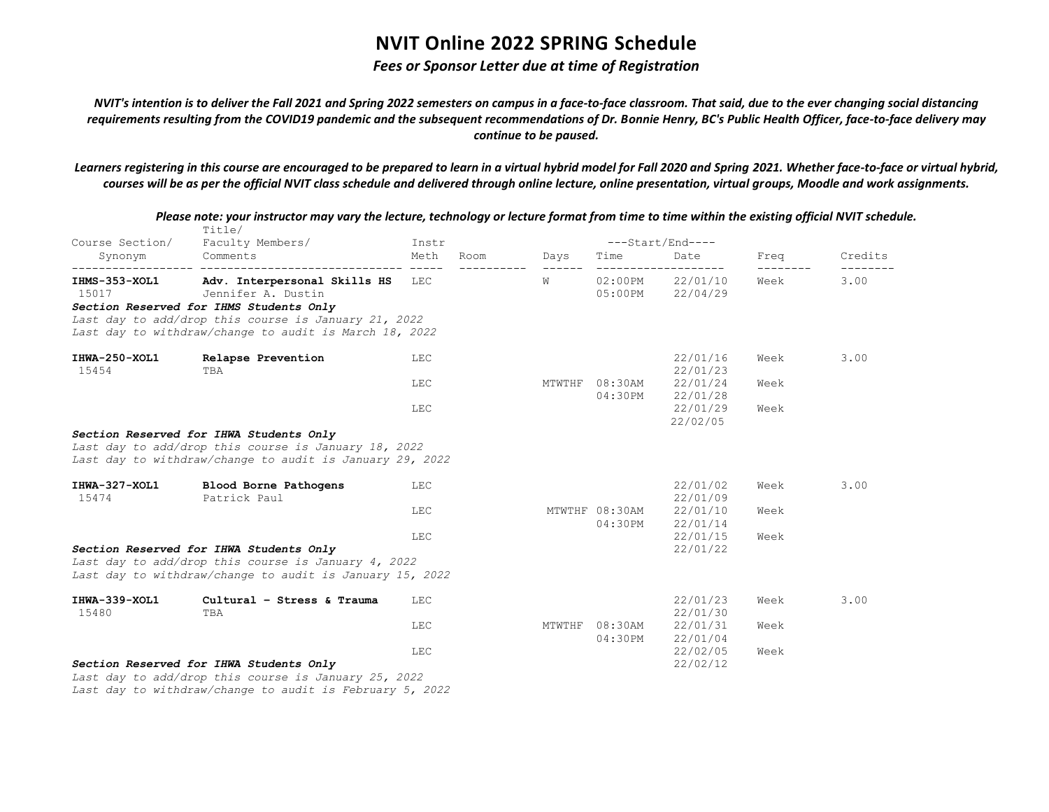### *Fees or Sponsor Letter due at time of Registration*

*NVIT's intention is to deliver the Fall 2021 and Spring 2022 semesters on campus in a face-to-face classroom. That said, due to the ever changing social distancing requirements resulting from the COVID19 pandemic and the subsequent recommendations of Dr. Bonnie Henry, BC's Public Health Officer, face-to-face delivery may continue to be paused.*

*Learners registering in this course are encouraged to be prepared to learn in a virtual hybrid model for Fall 2020 and Spring 2021. Whether face-to-face or virtual hybrid, courses will be as per the official NVIT class schedule and delivered through online lecture, online presentation, virtual groups, Moodle and work assignments.*

| Course Section/        | Title/<br>Faculty Members/                                                                                                                                  | Instr        |        |                           | $---Start/End---$    |      |         |
|------------------------|-------------------------------------------------------------------------------------------------------------------------------------------------------------|--------------|--------|---------------------------|----------------------|------|---------|
| Synonym                | Comments                                                                                                                                                    | Meth<br>Room | Days   | Time                      | Date                 | Freq | Credits |
| IHMS-353-XOL1<br>15017 | Adv. Interpersonal Skills HS<br>Jennifer A. Dustin                                                                                                          | LEC          | W      | $02:00$ PM<br>$05:00$ PM  | 22/01/10<br>22/04/29 | Week | 3.00    |
|                        | Section Reserved for IHMS Students Only<br>Last day to add/drop this course is January 21, 2022<br>Last day to withdraw/change to audit is March 18, 2022   |              |        |                           |                      |      |         |
| IHWA-250-XOL1<br>15454 | Relapse Prevention<br>TBA                                                                                                                                   | LEC          |        |                           | 22/01/16<br>22/01/23 | Week | 3.00    |
|                        |                                                                                                                                                             | LEC          |        | MTWTHF 08:30AM<br>04:30PM | 22/01/24<br>22/01/28 | Week |         |
|                        |                                                                                                                                                             | LEC          |        |                           | 22/01/29<br>22/02/05 | Week |         |
|                        | Section Reserved for IHWA Students Only<br>Last day to add/drop this course is January 18, 2022<br>Last day to withdraw/change to audit is January 29, 2022 |              |        |                           |                      |      |         |
| IHWA-327-XOL1<br>15474 | Blood Borne Pathogens<br>Patrick Paul                                                                                                                       | LEC          |        |                           | 22/01/02<br>22/01/09 | Week | 3.00    |
|                        |                                                                                                                                                             | LEC          |        | MTWTHF 08:30AM<br>04:30PM | 22/01/10<br>22/01/14 | Week |         |
|                        | Section Reserved for IHWA Students Only<br>Last day to add/drop this course is January 4, 2022<br>Last day to withdraw/change to audit is January 15, 2022  | LEC          |        |                           | 22/01/15<br>22/01/22 | Week |         |
| IHWA-339-XOL1<br>15480 | Cultural - Stress & Trauma<br>TBA                                                                                                                           | LEC          |        |                           | 22/01/23<br>22/01/30 | Week | 3.00    |
|                        |                                                                                                                                                             | LEC          | MTWTHF | $08:30$ AM<br>04:30PM     | 22/01/31<br>22/01/04 | Week |         |
|                        | Section Reserved for IHWA Students Only                                                                                                                     | LEC          |        |                           | 22/02/05<br>22/02/12 | Week |         |
|                        | Last day to add/drop this course is January 25, 2022                                                                                                        |              |        |                           |                      |      |         |

*Please note: your instructor may vary the lecture, technology or lecture format from time to time within the existing official NVIT schedule.*

*Last day to withdraw/change to audit is February 5, 2022*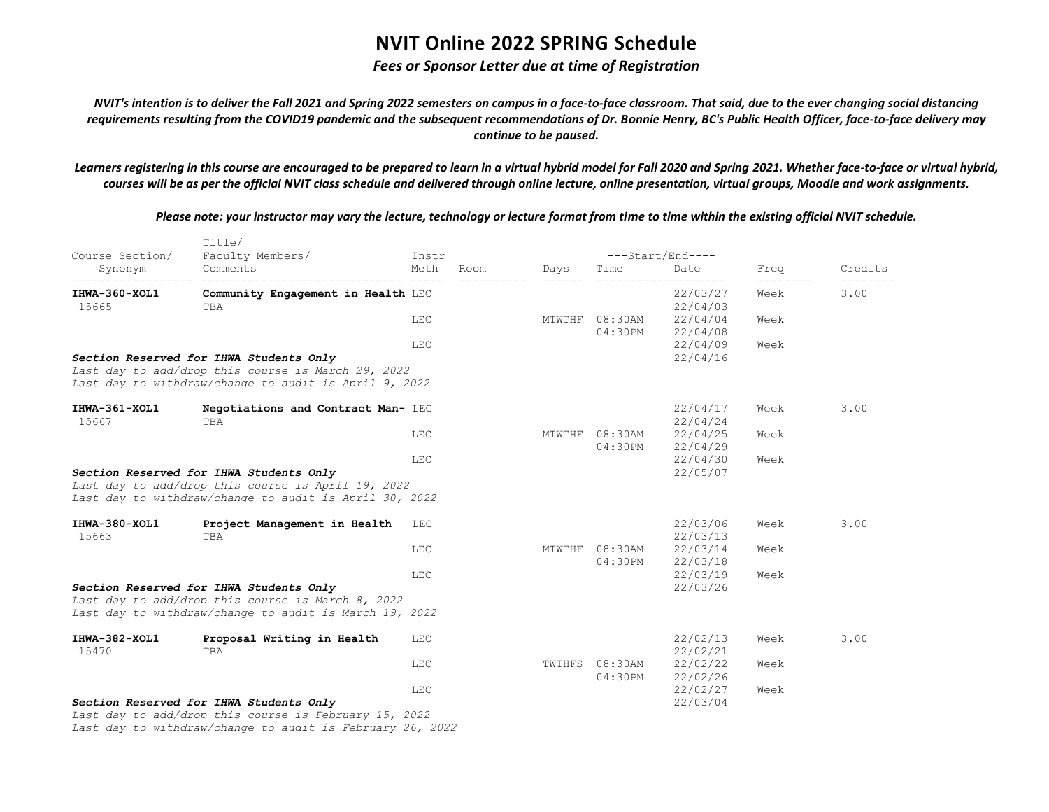### *Fees or Sponsor Letter due at time of Registration*

*NVIT's intention is to deliver the Fall 2021 and Spring 2022 semesters on campus in a face-to-face classroom. That said, due to the ever changing social distancing requirements resulting from the COVID19 pandemic and the subsequent recommendations of Dr. Bonnie Henry, BC's Public Health Officer, face-to-face delivery may continue to be paused.*

*Learners registering in this course are encouraged to be prepared to learn in a virtual hybrid model for Fall 2020 and Spring 2021. Whether face-to-face or virtual hybrid, courses will be as per the official NVIT class schedule and delivered through online lecture, online presentation, virtual groups, Moodle and work assignments.*

*Please note: your instructor may vary the lecture, technology or lecture format from time to time within the existing official NVIT schedule.*

| Course Section/ | Title/<br>Faculty Members/                                | Instr      |             |      | ---Start/End---- |          |                   |         |
|-----------------|-----------------------------------------------------------|------------|-------------|------|------------------|----------|-------------------|---------|
| Synonym         | Comments                                                  | Meth       | Room        | Days | Time             | Date     | Freq              | Credits |
| IHWA-360-XOL1   | Community Engagement in Health LEC                        |            | ----------- |      |                  | 22/03/27 | ---------<br>Week | 3.00    |
| 15665           | TBA                                                       |            |             |      |                  | 22/04/03 |                   |         |
|                 |                                                           | <b>LEC</b> |             |      | MTWTHF 08:30AM   | 22/04/04 | Week              |         |
|                 |                                                           |            |             |      | $04:30$ PM       | 22/04/08 |                   |         |
|                 |                                                           | LEC        |             |      |                  | 22/04/09 | Week              |         |
|                 | Section Reserved for IHWA Students Only                   |            |             |      |                  | 22/04/16 |                   |         |
|                 | Last day to add/drop this course is March 29, 2022        |            |             |      |                  |          |                   |         |
|                 | Last day to withdraw/change to audit is April 9, 2022     |            |             |      |                  |          |                   |         |
| IHWA-361-XOL1   | Negotiations and Contract Man- LEC                        |            |             |      |                  | 22/04/17 | Week              | 3.00    |
| 15667           | TBA                                                       |            |             |      |                  | 22/04/24 |                   |         |
|                 |                                                           | LEC        |             |      | MTWTHF 08:30AM   | 22/04/25 | Week              |         |
|                 |                                                           |            |             |      | 04:30PM          | 22/04/29 |                   |         |
|                 |                                                           | LEC        |             |      |                  | 22/04/30 | Week              |         |
|                 | Section Reserved for IHWA Students Only                   |            |             |      |                  | 22/05/07 |                   |         |
|                 | Last day to add/drop this course is April 19, 2022        |            |             |      |                  |          |                   |         |
|                 | Last day to withdraw/change to audit is April 30, 2022    |            |             |      |                  |          |                   |         |
| IHWA-380-XOL1   | Project Management in Health LEC                          |            |             |      |                  | 22/03/06 | Week              | 3.00    |
| 15663           | TBA                                                       |            |             |      |                  | 22/03/13 |                   |         |
|                 |                                                           | LEC        |             |      | MTWTHF 08:30AM   | 22/03/14 | Week              |         |
|                 |                                                           |            |             |      | $04:30$ PM       | 22/03/18 |                   |         |
|                 |                                                           | LEC        |             |      |                  | 22/03/19 | Week              |         |
|                 | Section Reserved for IHWA Students Only                   |            |             |      |                  | 22/03/26 |                   |         |
|                 | Last day to add/drop this course is March 8, 2022         |            |             |      |                  |          |                   |         |
|                 | Last day to withdraw/change to audit is March 19, 2022    |            |             |      |                  |          |                   |         |
| IHWA-382-XOL1   | Proposal Writing in Health                                | LEC        |             |      |                  | 22/02/13 | Week              | 3.00    |
| 15470           | TBA                                                       |            |             |      |                  | 22/02/21 |                   |         |
|                 |                                                           | LEC        |             |      | TWTHFS 08:30AM   | 22/02/22 | Week              |         |
|                 |                                                           |            |             |      | $04:30$ PM       | 22/02/26 |                   |         |
|                 |                                                           | LEC        |             |      |                  | 22/02/27 | Week              |         |
|                 | Section Reserved for IHWA Students Only                   |            |             |      |                  | 22/03/04 |                   |         |
|                 | Last day to add/drop this course is February 15, 2022     |            |             |      |                  |          |                   |         |
|                 | Last day to withdraw/change to audit is February 26, 2022 |            |             |      |                  |          |                   |         |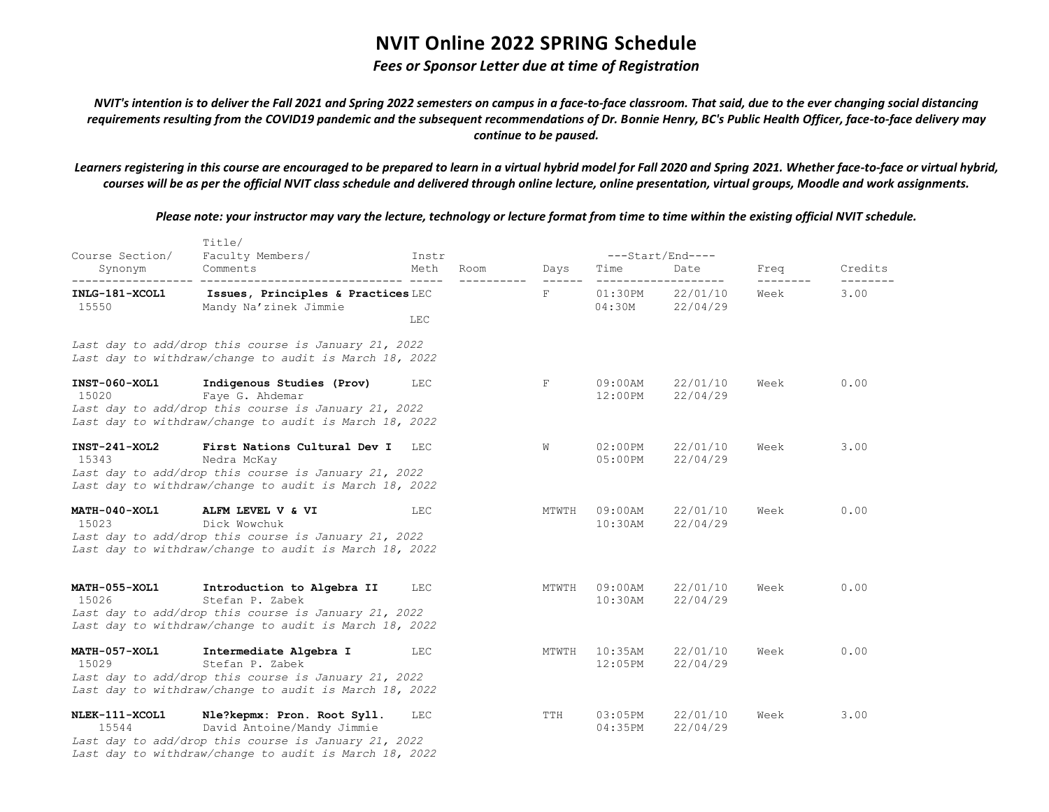### *Fees or Sponsor Letter due at time of Registration*

*NVIT's intention is to deliver the Fall 2021 and Spring 2022 semesters on campus in a face-to-face classroom. That said, due to the ever changing social distancing requirements resulting from the COVID19 pandemic and the subsequent recommendations of Dr. Bonnie Henry, BC's Public Health Officer, face-to-face delivery may continue to be paused.*

*Learners registering in this course are encouraged to be prepared to learn in a virtual hybrid model for Fall 2020 and Spring 2021. Whether face-to-face or virtual hybrid, courses will be as per the official NVIT class schedule and delivered through online lecture, online presentation, virtual groups, Moodle and work assignments.*

*Please note: your instructor may vary the lecture, technology or lecture format from time to time within the existing official NVIT schedule.*

| Course Section/               | Title/<br>Faculty Members/                                                                                                                                                  | Instr      |      |       | ---Start/End----         |                      |      |         |  |
|-------------------------------|-----------------------------------------------------------------------------------------------------------------------------------------------------------------------------|------------|------|-------|--------------------------|----------------------|------|---------|--|
| Synonym                       | Comments                                                                                                                                                                    | Meth       | Room | Days  | Time                     | Date                 | Freq | Credits |  |
| INLG-181-XCOL1<br>15550       | Issues, Principles & Practices LEC<br>Mandy Na'zinek Jimmie                                                                                                                 | LEC        |      | F     | 01:30PM<br>04:30M        | 22/01/10<br>22/04/29 | Week | 3.00    |  |
|                               | Last day to add/drop this course is January 21, 2022<br>Last day to withdraw/change to audit is March 18, 2022                                                              |            |      |       |                          |                      |      |         |  |
| <b>INST-060-XOL1</b><br>15020 | Indigenous Studies (Prov)<br>Faye G. Ahdemar<br>Last day to add/drop this course is January 21, 2022<br>Last day to withdraw/change to audit is March 18, 2022              | LEC        |      | F     | $09:00$ AM<br>12:00PM    | 22/01/10<br>22/04/29 | Week | 0.00    |  |
| $INT-241-XOL2$<br>15343       | First Nations Cultural Dev I<br>Nedra McKay<br>Last day to add/drop this course is January 21, 2022<br>Last day to withdraw/change to audit is March 18, 2022               | LEC        |      | W     | $02:00$ PM<br>05:00PM    | 22/01/10<br>22/04/29 | Week | 3.00    |  |
| MATH-040-XOL1<br>15023        | ALFM LEVEL V & VI<br>Dick Wowchuk<br>Last day to add/drop this course is January 21, 2022<br>Last day to withdraw/change to audit is March 18, 2022                         | <b>LEC</b> |      | MTWTH | $09:00$ AM<br>$10:30$ AM | 22/01/10<br>22/04/29 | Week | 0.00    |  |
| <b>MATH-055-XOL1</b><br>15026 | Introduction to Algebra II<br>Stefan P. Zabek<br>Last day to add/drop this course is January 21, 2022<br>Last day to withdraw/change to audit is March 18, 2022             | LEC        |      | MTWTH | $09:00$ AM<br>$10:30$ AM | 22/01/10<br>22/04/29 | Week | 0.00    |  |
| MATH-057-XOL1<br>15029        | Intermediate Algebra I<br>Stefan P. Zabek<br>Last day to add/drop this course is January 21, 2022<br>Last day to withdraw/change to audit is March 18, 2022                 | LEC        |      | MTWTH | $10:35$ AM<br>12:05PM    | 22/01/10<br>22/04/29 | Week | 0.00    |  |
| NLEK-111-XCOL1<br>15544       | Nle?kepmx: Pron. Root Syll.<br>David Antoine/Mandy Jimmie<br>Last day to add/drop this course is January 21, 2022<br>Last day to withdraw/change to audit is March 18, 2022 | <b>LEC</b> |      | TTH   | 03:05PM<br>04:35PM       | 22/01/10<br>22/04/29 | Week | 3.00    |  |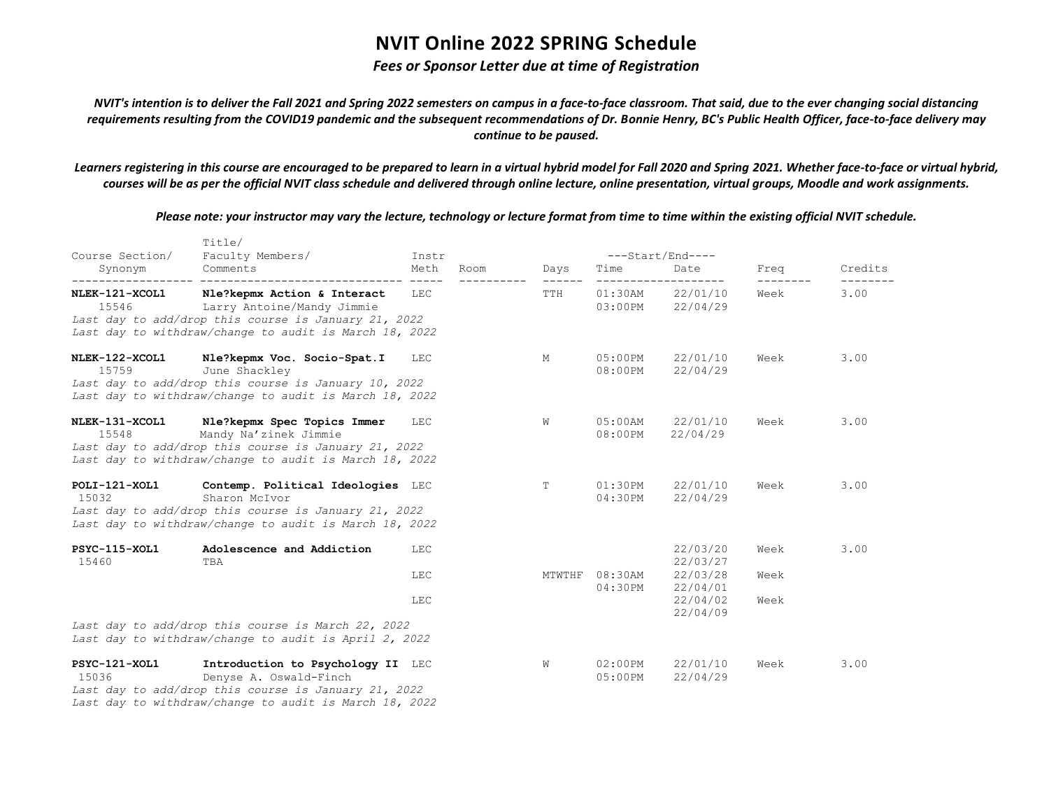### *Fees or Sponsor Letter due at time of Registration*

*NVIT's intention is to deliver the Fall 2021 and Spring 2022 semesters on campus in a face-to-face classroom. That said, due to the ever changing social distancing requirements resulting from the COVID19 pandemic and the subsequent recommendations of Dr. Bonnie Henry, BC's Public Health Officer, face-to-face delivery may continue to be paused.*

*Learners registering in this course are encouraged to be prepared to learn in a virtual hybrid model for Fall 2020 and Spring 2021. Whether face-to-face or virtual hybrid, courses will be as per the official NVIT class schedule and delivered through online lecture, online presentation, virtual groups, Moodle and work assignments.*

*Please note: your instructor may vary the lecture, technology or lecture format from time to time within the existing official NVIT schedule.*

| Course Section/         | Title/                                                                                                                                                                      |                                |      |        | ---Start/End----         |                                                                      |                      |         |
|-------------------------|-----------------------------------------------------------------------------------------------------------------------------------------------------------------------------|--------------------------------|------|--------|--------------------------|----------------------------------------------------------------------|----------------------|---------|
| Synonym                 | Faculty Members/<br>Comments                                                                                                                                                | Instr<br>Meth<br>$\frac{1}{2}$ | Room | Days   | Time                     | Date                                                                 | Freq                 | Credits |
| NLEK-121-XCOL1<br>15546 | Nle?kepmx Action & Interact<br>Larry Antoine/Mandy Jimmie<br>Last day to add/drop this course is January 21, 2022<br>Last day to withdraw/change to audit is March 18, 2022 | LEC                            |      | TTH    | $01:30$ AM<br>$03:00$ PM | 22/01/10<br>22/04/29                                                 | Week                 | 3.00    |
| NLEK-122-XCOL1<br>15759 | Nle?kepmx Voc. Socio-Spat.I<br>June Shackley<br>Last day to add/drop this course is January 10, 2022<br>Last day to withdraw/change to audit is March 18, 2022              | LEC                            |      | M      | $05:00$ PM<br>$08:00$ PM | 22/01/10<br>22/04/29                                                 | Week                 | 3.00    |
| NLEK-131-XCOL1<br>15548 | Nle?kepmx Spec Topics Immer<br>Mandy Na'zinek Jimmie<br>Last day to add/drop this course is January 21, 2022<br>Last day to withdraw/change to audit is March 18, 2022      | LEC                            |      | W      | $05:00$ AM<br>08:00PM    | 22/01/10<br>22/04/29                                                 | Week                 | 3.00    |
| POLI-121-XOL1<br>15032  | Contemp. Political Ideologies LEC<br>Sharon McIvor<br>Last day to add/drop this course is January 21, 2022<br>Last day to withdraw/change to audit is March 18, 2022        |                                |      | T      | $01:30$ PM<br>$04:30$ PM | 22/01/10<br>22/04/29                                                 | Week                 | 3.00    |
| PSYC-115-XOL1<br>15460  | Adolescence and Addiction<br>TBA                                                                                                                                            | LEC<br><b>LEC</b><br>LEC       |      | MTWTHF | $08:30$ AM<br>$04:30$ PM | 22/03/20<br>22/03/27<br>22/03/28<br>22/04/01<br>22/04/02<br>22/04/09 | Week<br>Week<br>Week | 3.00    |
|                         | Last day to add/drop this course is March 22, 2022<br>Last day to withdraw/change to audit is April 2, 2022                                                                 |                                |      |        |                          |                                                                      |                      |         |
| PSYC-121-XOL1<br>15036  | Introduction to Psychology II LEC<br>Denyse A. Oswald-Finch<br>Last day to add/drop this course is January 21, 2022                                                         |                                |      | W      | $02:00$ PM<br>$05:00$ PM | 22/01/10<br>22/04/29                                                 | Week                 | 3.00    |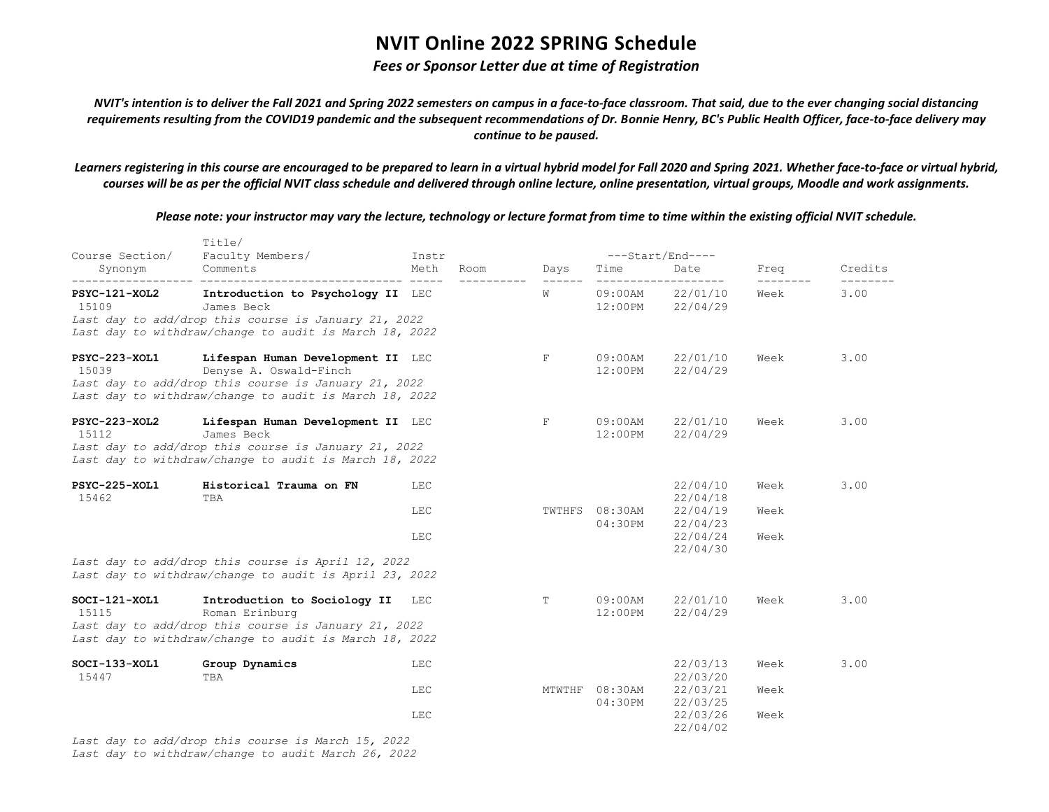### *Fees or Sponsor Letter due at time of Registration*

*NVIT's intention is to deliver the Fall 2021 and Spring 2022 semesters on campus in a face-to-face classroom. That said, due to the ever changing social distancing requirements resulting from the COVID19 pandemic and the subsequent recommendations of Dr. Bonnie Henry, BC's Public Health Officer, face-to-face delivery may continue to be paused.*

*Learners registering in this course are encouraged to be prepared to learn in a virtual hybrid model for Fall 2020 and Spring 2021. Whether face-to-face or virtual hybrid, courses will be as per the official NVIT class schedule and delivered through online lecture, online presentation, virtual groups, Moodle and work assignments.*

*Please note: your instructor may vary the lecture, technology or lecture format from time to time within the existing official NVIT schedule.*

| Course Section/          | Title/<br>Faculty Members/                                                                                                                                                                           | Instr                    |      |                      | $---Start/End---$         |                                                                      |                      |         |  |
|--------------------------|------------------------------------------------------------------------------------------------------------------------------------------------------------------------------------------------------|--------------------------|------|----------------------|---------------------------|----------------------------------------------------------------------|----------------------|---------|--|
| Synonym                  | Comments                                                                                                                                                                                             | Meth                     | Room | Days                 | Time                      | Date                                                                 | Freq                 | Credits |  |
| PSYC-121-XOL2<br>15109   | -------------------------------<br>Introduction to Psychology II LEC<br>James Beck<br>Last day to add/drop this course is January 21, 2022<br>Last day to withdraw/change to audit is March 18, 2022 |                          |      | $- - - - - - -$<br>W | $09:00$ AM<br>12:00PM     | 22/01/10<br>22/04/29                                                 | Week                 | 3.00    |  |
| PSYC-223-XOL1<br>15039   | Lifespan Human Development II LEC<br>Denyse A. Oswald-Finch<br>Last day to add/drop this course is January 21, 2022<br>Last day to withdraw/change to audit is March 18, 2022                        |                          |      | F                    | $09:00$ AM<br>$12:00$ PM  | 22/01/10<br>22/04/29                                                 | Week                 | 3.00    |  |
| PSYC-223-XOL2<br>15112   | Lifespan Human Development II LEC<br>James Beck<br>Last day to add/drop this course is January 21, 2022<br>Last day to withdraw/change to audit is March 18, 2022                                    |                          |      | F                    | $09:00$ AM<br>12:00PM     | 22/01/10<br>22/04/29                                                 | Week                 | 3.00    |  |
| PSYC-225-XOL1<br>15462   | Historical Trauma on FN<br>TBA                                                                                                                                                                       | LEC<br><b>LEC</b><br>LEC |      |                      | TWTHFS 08:30AM<br>04:30PM | 22/04/10<br>22/04/18<br>22/04/19<br>22/04/23<br>22/04/24<br>22/04/30 | Week<br>Week<br>Week | 3.00    |  |
|                          | Last day to add/drop this course is April 12, 2022<br>Last day to withdraw/change to audit is April 23, 2022                                                                                         |                          |      |                      |                           |                                                                      |                      |         |  |
| $SOCI-121-XOL1$<br>15115 | Introduction to Sociology II LEC<br>Roman Erinburg<br>Last day to add/drop this course is January 21, 2022<br>Last day to withdraw/change to audit is March 18, 2022                                 |                          |      | T                    | $09:00$ AM<br>$12:00$ PM  | 22/01/10<br>22/04/29                                                 | Week                 | 3.00    |  |
| $SOCI-133-XOL1$<br>15447 | Group Dynamics<br>TBA                                                                                                                                                                                | LEC<br>LEC               |      |                      | MTWTHF 08:30AM            | 22/03/13<br>22/03/20<br>22/03/21                                     | Week<br>Week         | 3.00    |  |
|                          | Last day to add (drop this course is March $15$ $2022$                                                                                                                                               | LEC                      |      |                      | 04:30PM                   | 22/03/25<br>22/03/26<br>22/04/02                                     | Week                 |         |  |

*Last day to add/drop this course is March 15, 2022 Last day to withdraw/change to audit March 26, 2022*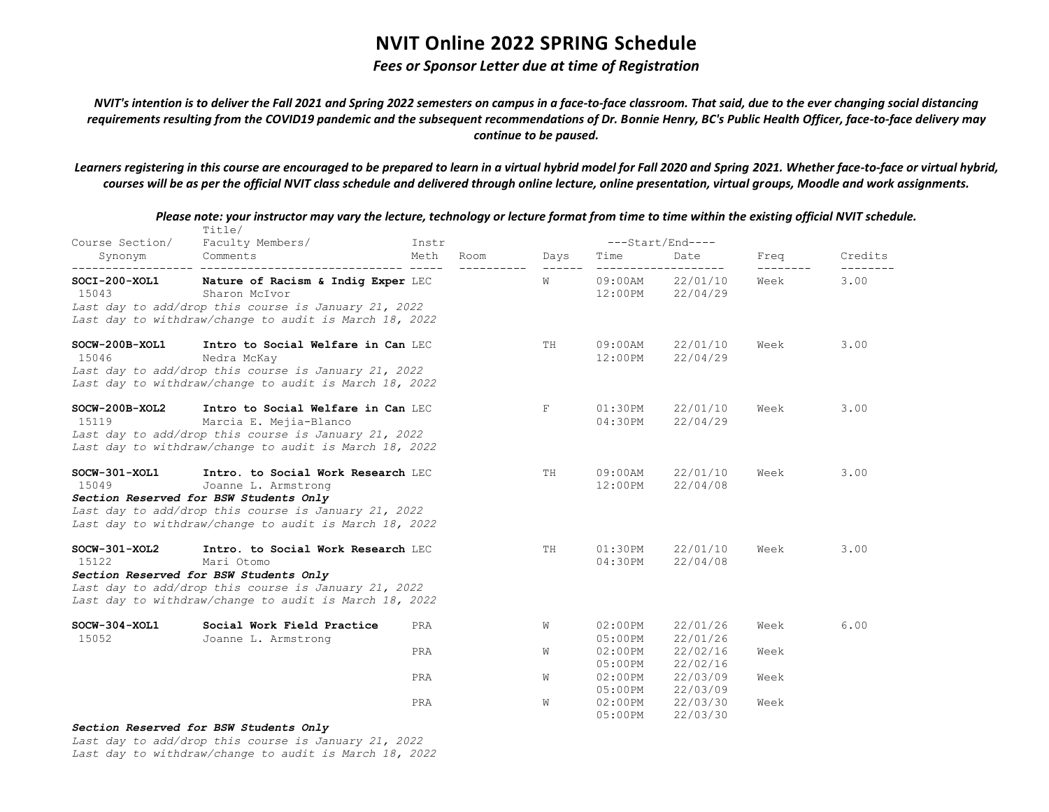#### *Fees or Sponsor Letter due at time of Registration*

*NVIT's intention is to deliver the Fall 2021 and Spring 2022 semesters on campus in a face-to-face classroom. That said, due to the ever changing social distancing requirements resulting from the COVID19 pandemic and the subsequent recommendations of Dr. Bonnie Henry, BC's Public Health Officer, face-to-face delivery may continue to be paused.*

*Learners registering in this course are encouraged to be prepared to learn in a virtual hybrid model for Fall 2020 and Spring 2021. Whether face-to-face or virtual hybrid, courses will be as per the official NVIT class schedule and delivered through online lecture, online presentation, virtual groups, Moodle and work assignments.*

| Course Section/           | Title/<br>Faculty Members/                                                                                                                                                                                            | Instr        |      | ---Start/End----         |                                      |      |         |
|---------------------------|-----------------------------------------------------------------------------------------------------------------------------------------------------------------------------------------------------------------------|--------------|------|--------------------------|--------------------------------------|------|---------|
| Synonym                   | Comments                                                                                                                                                                                                              | Meth<br>Room | Days | Time                     | Date                                 | Freq | Credits |
| SOCI-200-XOL1<br>15043    | Nature of Racism & Indig Exper LEC<br>Sharon McIvor<br>Last day to add/drop this course is January 21, 2022<br>Last day to withdraw/change to audit is March 18, 2022                                                 |              | W    |                          | 09:00AM 22/01/10<br>12:00PM 22/04/29 | Week | 3.00    |
| SOCW-200B-XOL1<br>15046   | Intro to Social Welfare in Can LEC<br>Nedra McKay<br>Last day to add/drop this course is January 21, 2022<br>Last day to withdraw/change to audit is March 18, 2022                                                   |              | TH   | $09:00$ AM<br>$12:00$ PM | 22/01/10<br>22/04/29                 | Week | 3.00    |
| $SOCW-200B-XOL2$<br>15119 | Intro to Social Welfare in Can LEC<br>Marcia E. Mejia-Blanco<br>Last day to add/drop this course is January 21, 2022<br>Last day to withdraw/change to audit is March 18, 2022                                        |              | F    | $01:30$ PM<br>04:30PM    | 22/01/10<br>22/04/29                 | Week | 3.00    |
| $SOCW-301-XOL1$<br>15049  | Intro. to Social Work Research LEC<br>Joanne L. Armstrong<br>Section Reserved for BSW Students Only<br>Last day to add/drop this course is January 21, 2022<br>Last day to withdraw/change to audit is March 18, 2022 |              | TH   | $09:00$ AM<br>$12:00$ PM | 22/01/10<br>22/04/08                 | Week | 3.00    |
| $SOCW-301-XOL2$<br>15122  | Intro. to Social Work Research LEC<br>Mari Otomo<br>Section Reserved for BSW Students Only<br>Last day to add/drop this course is January 21, 2022<br>Last day to withdraw/change to audit is March 18, 2022          |              | TH   | $01:30$ PM<br>04:30PM    | 22/01/10<br>22/04/08                 | Week | 3.00    |
| $SOCW-304-XOL1$<br>15052  | Social Work Field Practice<br>Joanne L. Armstrong                                                                                                                                                                     | PRA          | W    | $02:00$ PM<br>$05:00$ PM | 22/01/26<br>22/01/26                 | Week | 6.00    |
|                           |                                                                                                                                                                                                                       | PRA          | W    |                          | 02:00PM 22/02/16<br>05:00PM 22/02/16 | Week |         |
|                           |                                                                                                                                                                                                                       | PRA          | W    |                          | 02:00PM 22/03/09<br>05:00PM 22/03/09 | Week |         |
|                           |                                                                                                                                                                                                                       | PRA          | W    | $02:00$ PM<br>05:00PM    | 22/03/30<br>22/03/30                 | Week |         |

*Please note: your instructor may vary the lecture, technology or lecture format from time to time within the existing official NVIT schedule.*

*Section Reserved for BSW Students Only*

*Last day to add/drop this course is January 21, 2022*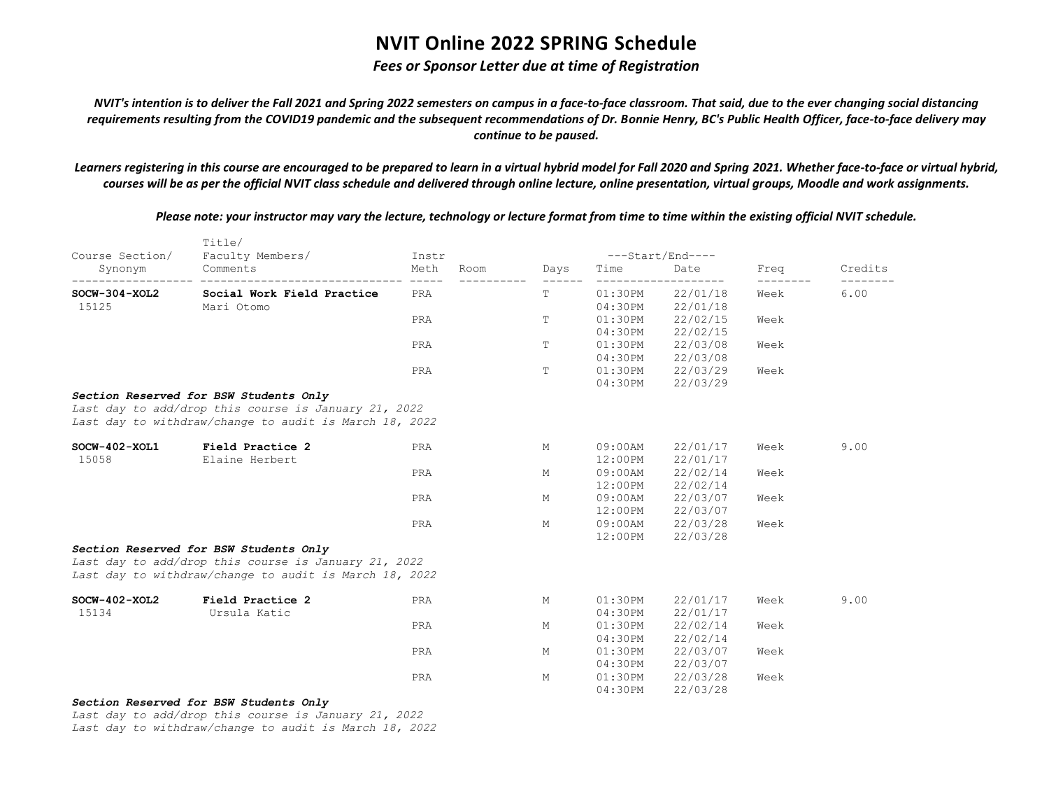#### *Fees or Sponsor Letter due at time of Registration*

*NVIT's intention is to deliver the Fall 2021 and Spring 2022 semesters on campus in a face-to-face classroom. That said, due to the ever changing social distancing requirements resulting from the COVID19 pandemic and the subsequent recommendations of Dr. Bonnie Henry, BC's Public Health Officer, face-to-face delivery may continue to be paused.*

*Learners registering in this course are encouraged to be prepared to learn in a virtual hybrid model for Fall 2020 and Spring 2021. Whether face-to-face or virtual hybrid, courses will be as per the official NVIT class schedule and delivered through online lecture, online presentation, virtual groups, Moodle and work assignments.*

Title/ Course Section/ Faculty Members/ Instr ---Start/End---- Synonym Comments Meth Room Days Time Date Freq Credits ------------------ ------------------------------ ----- ---------- ------ ------------------- -------- -------- **SOCW-304-XOL2 Social Work Field Practice** PRA T 01:30PM 22/01/18 Week 6.00 15125 Mari Otomo 04:30PM 22/01/18 PRA T 01:30PM 22/02/15 Week 04:30PM 22/02/15 PRA T 01:30PM 22/03/08 Week 04:30PM 22/03/08 PRA T 01:30PM 22/03/29 Week 04:30PM 22/03/29 *Section Reserved for BSW Students Only Last day to add/drop this course is January 21, 2022 Last day to withdraw/change to audit is March 18, 2022* **SOCW-402-XOL1 Field Practice 2** PRA M 09:00AM 22/01/17 Week 9.00 15058 Elaine Herbert 12:00PM 22/01/17 PRA M 09:00AM 22/02/14 Week 12:00PM 22/02/14 PRA M 09:00AM 22/03/07 Week 12:00PM 22/03/07 PRA M 09:00AM 22/03/28 Week 12:00PM 22/03/28 *Section Reserved for BSW Students Only Last day to add/drop this course is January 21, 2022 Last day to withdraw/change to audit is March 18, 2022* **SOCW-402-XOL2 Field Practice 2** PRA M 01:30PM 22/01/17 Week 9.00 15134 Ursula Katic 04:30PM 22/01/17 PRA M 01:30PM 22/02/14 Week

04:30PM 22/02/14

04:30PM 22/03/07

04:30PM 22/03/28

PRA M 01:30PM 22/03/07 Week

PRA M 01:30PM 22/03/28 Week

*Please note: your instructor may vary the lecture, technology or lecture format from time to time within the existing official NVIT schedule.*

*Section Reserved for BSW Students Only*

*Last day to add/drop this course is January 21, 2022 Last day to withdraw/change to audit is March 18, 2022*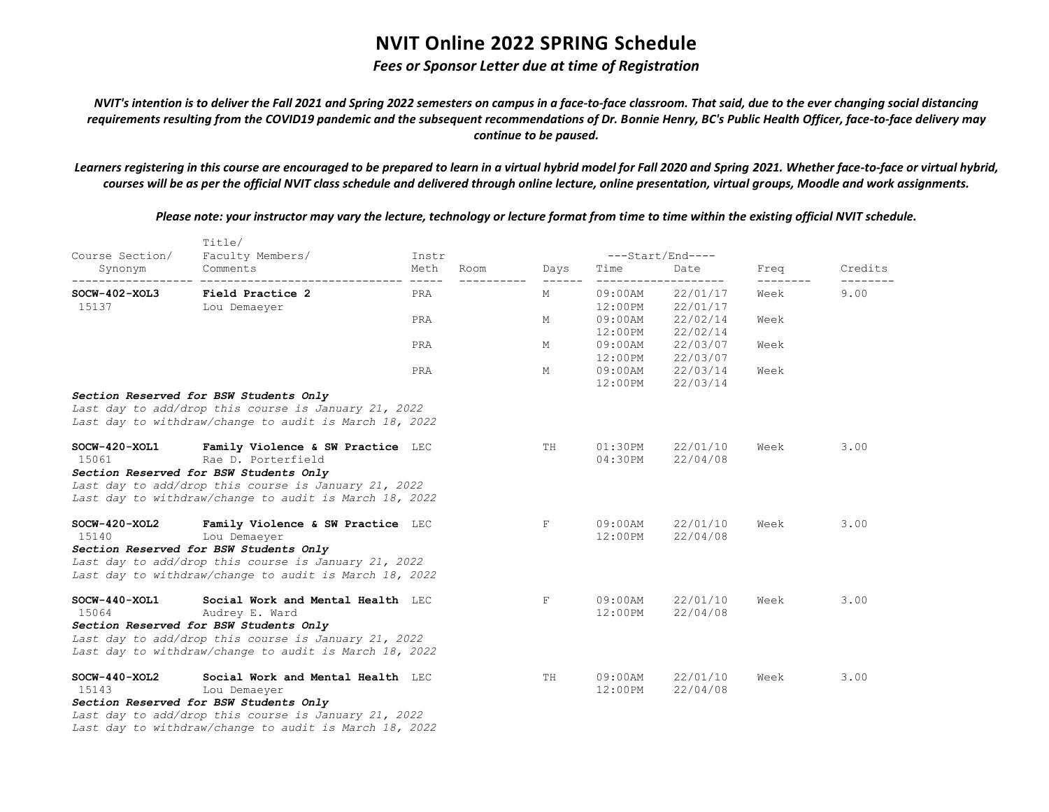### *Fees or Sponsor Letter due at time of Registration*

*NVIT's intention is to deliver the Fall 2021 and Spring 2022 semesters on campus in a face-to-face classroom. That said, due to the ever changing social distancing requirements resulting from the COVID19 pandemic and the subsequent recommendations of Dr. Bonnie Henry, BC's Public Health Officer, face-to-face delivery may continue to be paused.*

*Learners registering in this course are encouraged to be prepared to learn in a virtual hybrid model for Fall 2020 and Spring 2021. Whether face-to-face or virtual hybrid, courses will be as per the official NVIT class schedule and delivered through online lecture, online presentation, virtual groups, Moodle and work assignments.*

*Please note: your instructor may vary the lecture, technology or lecture format from time to time within the existing official NVIT schedule.*

| Course Section/ | Title/<br>Faculty Members/                             | Instr               |      |      | ---Start/End---- |                  |                   |         |  |
|-----------------|--------------------------------------------------------|---------------------|------|------|------------------|------------------|-------------------|---------|--|
| Synonym         | Comments                                               | Meth<br>$- - - - -$ | Room | Days | Time             | Date<br>-------- | Freq              | Credits |  |
| $SOCW-402-XOL3$ | Field Practice 2                                       | PRA                 |      | М    | 09:00AM          | 22/01/17         | ---------<br>Week | 9.00    |  |
| 15137           | Lou Demaeyer                                           |                     |      |      |                  | 12:00PM 22/01/17 |                   |         |  |
|                 |                                                        | PRA                 |      | М    |                  | 09:00AM 22/02/14 | Week              |         |  |
|                 |                                                        |                     |      |      |                  | 12:00PM 22/02/14 |                   |         |  |
|                 |                                                        | PRA                 |      | М    |                  | 09:00AM 22/03/07 | Week              |         |  |
|                 |                                                        |                     |      |      |                  | 12:00PM 22/03/07 |                   |         |  |
|                 |                                                        | PRA                 |      | М    |                  | 09:00AM 22/03/14 | Week              |         |  |
|                 |                                                        |                     |      |      |                  | 12:00PM 22/03/14 |                   |         |  |
|                 | Section Reserved for BSW Students Only                 |                     |      |      |                  |                  |                   |         |  |
|                 | Last day to add/drop this course is January 21, 2022   |                     |      |      |                  |                  |                   |         |  |
|                 | Last day to withdraw/change to audit is March 18, 2022 |                     |      |      |                  |                  |                   |         |  |
| $SOCW-420-XOL1$ | Family Violence & SW Practice LEC                      |                     |      | TH   | $01:30$ PM       | 22/01/10         | Week              | 3.00    |  |
| 15061           | Rae D. Porterfield                                     |                     |      |      | $04:30$ PM       | 22/04/08         |                   |         |  |
|                 | Section Reserved for BSW Students Only                 |                     |      |      |                  |                  |                   |         |  |
|                 | Last day to add/drop this course is January 21, 2022   |                     |      |      |                  |                  |                   |         |  |
|                 | Last day to withdraw/change to audit is March 18, 2022 |                     |      |      |                  |                  |                   |         |  |
| $SOCW-420-XOL2$ | Family Violence & SW Practice LEC                      |                     |      | F    | $09:00$ AM       | 22/01/10         | Week              | 3.00    |  |
| 15140           | Lou Demaeyer                                           |                     |      |      | 12:00PM          | 22/04/08         |                   |         |  |
|                 | Section Reserved for BSW Students Only                 |                     |      |      |                  |                  |                   |         |  |
|                 | Last day to add/drop this course is January 21, 2022   |                     |      |      |                  |                  |                   |         |  |
|                 | Last day to withdraw/change to audit is March 18, 2022 |                     |      |      |                  |                  |                   |         |  |
| $SOCW-440-XOL1$ | Social Work and Mental Health LEC                      |                     |      | F    | 09:00AM          | 22/01/10         | Week              | 3.00    |  |
| 15064           | Audrey E. Ward                                         |                     |      |      | 12:00PM          | 22/04/08         |                   |         |  |
|                 | Section Reserved for BSW Students Only                 |                     |      |      |                  |                  |                   |         |  |
|                 | Last day to add/drop this course is January 21, 2022   |                     |      |      |                  |                  |                   |         |  |
|                 | Last day to withdraw/change to audit is March 18, 2022 |                     |      |      |                  |                  |                   |         |  |
| $SOCW-440-XOL2$ | Social Work and Mental Health LEC                      |                     |      | TH   | $09:00$ AM       | 22/01/10         | Week              | 3.00    |  |
| 15143           | Lou Demaeyer                                           |                     |      |      | $12:00$ PM       | 22/04/08         |                   |         |  |
|                 | Section Reserved for BSW Students Only                 |                     |      |      |                  |                  |                   |         |  |
|                 | Last day to add/drop this course is January 21, 2022   |                     |      |      |                  |                  |                   |         |  |
|                 | Last day to withdraw/change to audit is March 18, 2022 |                     |      |      |                  |                  |                   |         |  |